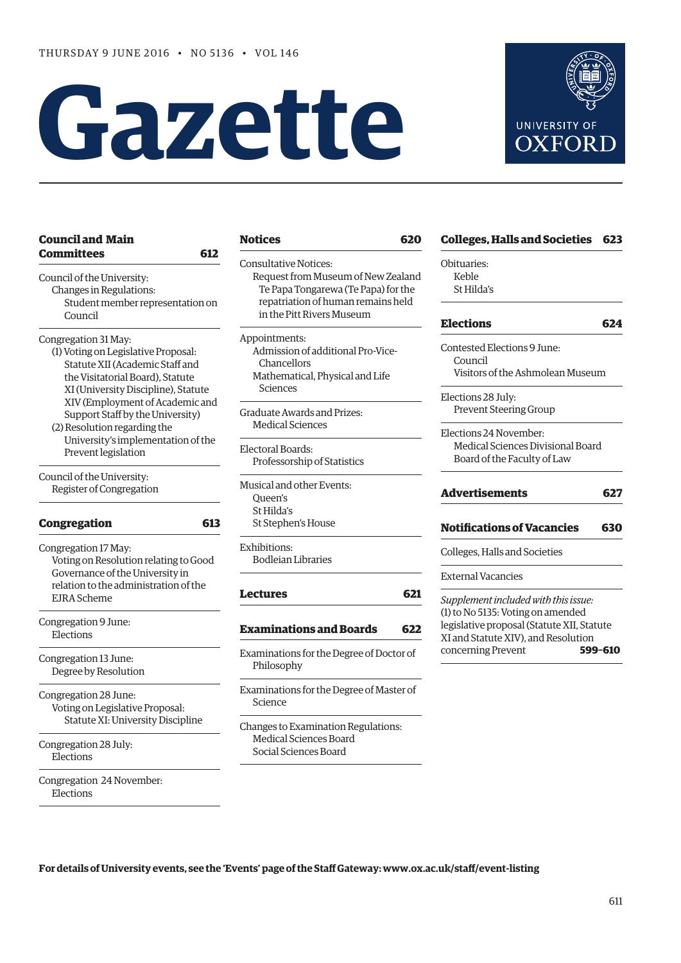# **Gazette**



| <b>Council and Main</b>               | Notic         |
|---------------------------------------|---------------|
| <b>Committees</b>                     | 612           |
| Council of the University:            | Consul<br>Req |
| Changes in Regulations:               | Te            |
| Student member representation on      | rep           |
| Council                               | in :          |
|                                       |               |
| Congregation 31 May:                  | Appoir        |
| (1) Voting on Legislative Proposal:   | Adn           |
| Statute XII (Academic Staff and       | Ch            |
| the Visitatorial Board), Statute      | Mat           |
| XI (University Discipline), Statute   | Sc:           |
| XIV (Employment of Academic and       |               |
| Support Staff by the University)      | Gradua        |
| (2) Resolution regarding the          | Med           |
| University's implementation of the    |               |
| Prevent legislation                   | Elector       |
|                                       | Prof          |
| Council of the University:            | Musica        |
| Register of Congregation              | Que           |
|                                       | St H          |
| <b>Congregation</b>                   | St St<br>613  |
| Congregation 17 May:                  | Exhibit       |
| Voting on Resolution relating to Good | Bod           |
| Governance of the University in       |               |
| relation to the administration of the |               |
| <b>EJRA</b> Scheme                    | Lectu         |
|                                       |               |
| Congregation 9 June:<br>Elections     | Exam          |
|                                       |               |
| Congregation 13 June:                 | Examiı        |
| Degree by Resolution                  | Phil          |
| Congregation 28 June:                 | Examiı        |
| Voting on Legislative Proposal:       | Scie          |
|                                       |               |
| Statute XI: University Discipline     | Change        |
| Congregation 28 July:                 | Med           |
| Elections                             | Soci          |
|                                       |               |
| Congregation 24 November:             |               |
| Elections                             |               |

| Notices                             |
|-------------------------------------|
| Consultative Notices:               |
| Request from Museum of New Zealand  |
| Te Papa Tongarewa (Te Papa) for the |
| repatriation of human remains held  |
| in the Pitt Rivers Museum           |
| Appointments:                       |
| Admission of additional Pro-Vice-   |
| Chancellors                         |
| Mathematical, Physical and Life     |
| Sciences                            |
| Graduate Awards and Prizes:         |
| Medical Sciences                    |
| Electoral Boards:                   |
| Professorship of Statistics         |

al and other Events: en's lilda's tephen's House

tions· lleian Libraries

# **[Lectures](#page-10-0) 621**

# **[Examinations and Boards](#page-11-0) 622**

nations for the Degree of Doctor of losophy

nations for the Degree of Master of nce

es to Examination Regulations: dical Sciences Board ial Sciences Board

# **[Colleges, Halls and Societies](#page-12-0) 623**

Obituaries: Keble St Hilda's

# **[Elections](#page-13-0) 624**

Contested Elections 9 June: Council Visitors of the Ashmolean Museum

Elections 28 July: Prevent Steering Group

Elections 24 November: Medical Sciences Divisional Board Board of the Faculty of Law

# **[Advertisements](#page-16-0) 627**

# **[Notifications of Vacancies](#page-19-0) 630**

Colleges, Halls and Societies

External Vacancies

*Supplement included with this issue:* (1) to No 5135: Voting on amended legislative proposal (Statute XII, Statute XI and Statute XIV), and Resolution concerning Prevent **599–610**

**For details of University events, see the 'Events' page of the Staff Gateway: [www.ox.ac.uk/staff/event-listing](http://www.ox.ac.uk/staff/event-listing)**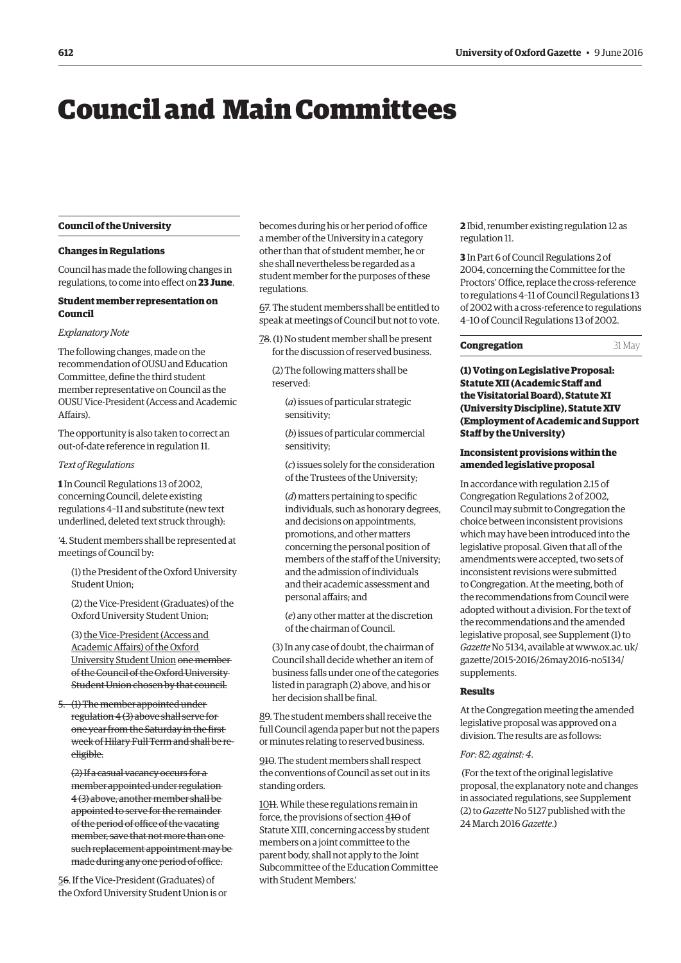# <span id="page-1-0"></span>Council and Main Committees

#### **Council of the University**

#### **Changes in Regulations**

Council has made the following changes in regulations, to come into effect on **23 June**.

## **Student member representation on Council**

#### *Explanatory Note*

The following changes, made on the recommendation of OUSU and Education Committee, define the third student member representative on Council as the OUSU Vice-President (Access and Academic Affairs).

The opportunity is also taken to correct an out-of-date reference in regulation 11.

#### *Text of Regulations*

**1** In Council Regulations 13 of 2002, concerning Council, delete existing regulations 4–11 and substitute (new text underlined, deleted text struck through):

'4. Student members shall be represented at meetings of Council by:

(1) the President of the Oxford University Student Union;

(2) the Vice-President (Graduates) of the Oxford University Student Union;

(3) the Vice-President (Access and Academic Affairs) of the Oxford University Student Union one member of the Council of the Oxford University Student Union chosen by that council.

5. (1) The member appointed under regulation 4 (3) above shall serve for one year from the Saturday in the first week of Hilary Full Term and shall be reeligible.

(2) If a casual vacancy occurs for a member appointed under regulation 4 (3) above, another member shall be appointed to serve for the remainder of the period of office of the vacating member, save that not more than one such replacement appointment may be made during any one period of office.

56. If the Vice-President (Graduates) of the Oxford University Student Union is or becomes during his or her period of office a member of the University in a category other than that of student member, he or she shall nevertheless be regarded as a student member for the purposes of these regulations.

67. The student members shall be entitled to speak at meetings of Council but not to vote.

- 78. (1) No student member shall be present for the discussion of reserved business.
	- (2) The following matters shall be reserved:
		- (*a*) issues of particular strategic sensitivity;

(*b*) issues of particular commercial sensitivity;

(*c*) issues solely for the consideration of the Trustees of the University;

(*d*) matters pertaining to specific individuals, such as honorary degrees, and decisions on appointments, promotions, and other matters concerning the personal position of members of the staff of the University; and the admission of individuals and their academic assessment and personal affairs; and

(*e*) any other matter at the discretion of the chairman of Council.

(3) In any case of doubt, the chairman of Council shall decide whether an item of business falls under one of the categories listed in paragraph (2) above, and his or her decision shall be final.

89. The student members shall receive the full Council agenda paper but not the papers or minutes relating to reserved business.

910. The student members shall respect the conventions of Council as set out in its standing orders.

1011. While these regulations remain in force, the provisions of section  $410$  of Statute XIII, concerning access by student members on a joint committee to the parent body, shall not apply to the Joint Subcommittee of the Education Committee with Student Members.'

**2** Ibid, renumber existing regulation 12 as regulation 11.

**3** In Part 6 of Council Regulations 2 of 2004, concerning the Committee for the Proctors' Office, replace the cross-reference to regulations 4–11 of Council Regulations 13 of 2002 with a cross-reference to regulations 4–10 of Council Regulations 13 of 2002.

#### **Congregation** 31 May

**(1) Voting on Legislative Proposal: Statute XII (Academic Staff and the Visitatorial Board), Statute XI (University Discipline), Statute XIV (Employment of Academic and Support Staff by the University)**

# **Inconsistent provisions within the amended legislative proposal**

In accordance with regulation 2.15 of Congregation Regulations 2 of 2002, Council may submit to Congregation the choice between inconsistent provisions which may have been introduced into the legislative proposal. Given that all of the amendments were accepted, two sets of inconsistent revisions were submitted to Congregation. At the meeting, both of the recommendations from Council were adopted without a division. For the text of the recommendations and the amended legislative proposal, see Supplement (1) to *Gazette* No 5134, available at www.ox.ac. uk/ [gazette/2015-2016/26may2016-no5134/](www.ox.ac.uk/gazette/2015-2016/26may2016-no5134/supplements) supplements.

#### **Results**

At the Congregation meeting the amended legislative proposal was approved on a division. The results are as follows:

#### *For: 82; against: 4*.

 (For the text of the original legislative proposal, the explanatory note and changes [in associated regulations, see Supplement](http://www.ox.ac.uk/gazette/2015-2016/24march2016-no5128/supplements/)  (2) to *Gazette* No 5127 published with the 24 March 2016 *Gazette*.)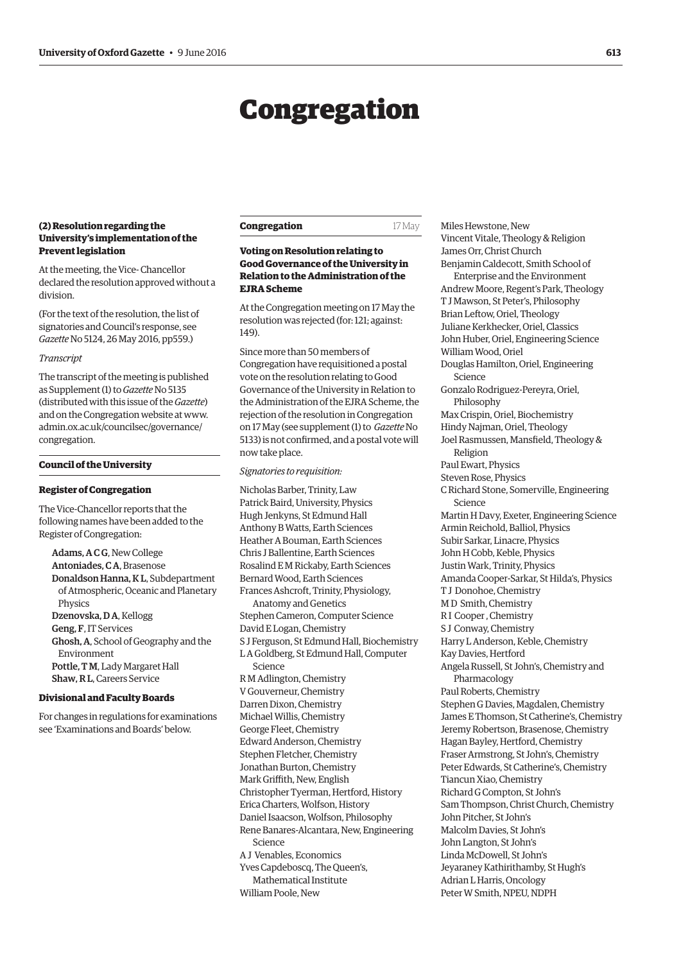# Congregation

# <span id="page-2-0"></span>**(2) Resolution regarding the University's implementation of the Prevent legislation**

At the meeting, the Vice- Chancellor declared the resolution approved without a division.

(For the text of the resolution, the list of signatories and Council's response, see *Gazette* [No 5124, 26 May 2016, pp559.\)](http://www.ox.ac.uk/gazette/2015-2016/26may2016-no5134/congregation/#cong3)

#### *Transcript*

The transcript of the meeting is published as Supplement (1) to *Gazette* No 5135 (distributed with this issue of the *Gazette*) [and on the Congregation website at www.](www.admin.ox.ac.uk/councilsec/governance/congregation)  admin.ox.ac.uk/councilsec/governance/ congregation.

#### **Council of the University**

#### **Register of Congregation**

The Vice-Chancellor reports that the following names have been added to the Register of Congregation:

Adams, A C G, New College Antoniades, C A, Brasenose Donaldson Hanna, K L, Subdepartment of Atmospheric, Oceanic and Planetary Physics Dzenovska, D A, Kellogg Geng, F, IT Services Ghosh, A, School of Geography and the Environment Pottle, T M, Lady Margaret Hall Shaw, R L, Careers Service

# **Divisional and Faculty Boards**

For changes in regulations for examinations see '[Examinations and Boards'](#page-12-0) below.

| Congregation | 17 May |
|--------------|--------|
|--------------|--------|

# **Voting on Resolution relating to Good Governance of the University in Relation to the Administration of the EJRA Scheme**

At the Congregation meeting on 17 May the resolution was rejected (for: 121; against: 149).

Since more than 50 members of Congregation have requisitioned a postal vote on the resolution relating to Good Governance of the University in Relation to the Administration of the EJRA Scheme, the rejection of the resolution in Congregation on 17 May (see supplement (1) to *Gazette* No [5133\) is not confirmed, and a postal vote will](http://www.ox.ac.uk/gazette/2015-2016/26may2016-no5134/supplements/) now take place.

#### *Signatories to requisition:*

Nicholas Barber, Trinity, Law Patrick Baird, University, Physics Hugh Jenkyns, St Edmund Hall Anthony B Watts, Earth Sciences Heather A Bouman, Earth Sciences Chris J Ballentine, Earth Sciences Rosalind E M Rickaby, Earth Sciences Bernard Wood, Earth Sciences Frances Ashcroft, Trinity, Physiology, Anatomy and Genetics Stephen Cameron, Computer Science David E Logan, Chemistry S J Ferguson, St Edmund Hall, Biochemistry L A Goldberg, St Edmund Hall, Computer Science R M Adlington, Chemistry V Gouverneur, Chemistry Darren Dixon, Chemistry Michael Willis, Chemistry George Fleet, Chemistry Edward Anderson, Chemistry Stephen Fletcher, Chemistry Jonathan Burton, Chemistry Mark Griffith, New, English Christopher Tyerman, Hertford, History Erica Charters, Wolfson, History Daniel Isaacson, Wolfson, Philosophy Rene Banares-Alcantara, New, Engineering Science A J Venables, Economics Yves Capdeboscq, The Queen's, Mathematical Institute William Poole, New

Miles Hewstone, New Vincent Vitale, Theology & Religion James Orr, Christ Church Benjamin Caldecott, Smith School of Enterprise and the Environment Andrew Moore, Regent's Park, Theology T J Mawson, St Peter's, Philosophy Brian Leftow, Oriel, Theology Juliane Kerkhecker, Oriel, Classics John Huber, Oriel, Engineering Science William Wood, Oriel Douglas Hamilton, Oriel, Engineering Science Gonzalo Rodriguez-Pereyra, Oriel, Philosophy Max Crispin, Oriel, Biochemistry Hindy Najman, Oriel, Theology Joel Rasmussen, Mansfield, Theology & Religion Paul Ewart, Physics Steven Rose, Physics C Richard Stone, Somerville, Engineering Science Martin H Davy, Exeter, Engineering Science Armin Reichold, Balliol, Physics Subir Sarkar, Linacre, Physics John H Cobb, Keble, Physics Justin Wark, Trinity, Physics Amanda Cooper-Sarkar, St Hilda's, Physics T J Donohoe, Chemistry M D Smith, Chemistry R I Cooper , Chemistry S J Conway, Chemistry Harry L Anderson, Keble, Chemistry Kay Davies, Hertford Angela Russell, St John's, Chemistry and Pharmacology Paul Roberts, Chemistry Stephen G Davies, Magdalen, Chemistry James E Thomson, St Catherine's, Chemistry Jeremy Robertson, Brasenose, Chemistry Hagan Bayley, Hertford, Chemistry Fraser Armstrong, St John's, Chemistry Peter Edwards, St Catherine's, Chemistry Tiancun Xiao, Chemistry Richard G Compton, St John's Sam Thompson, Christ Church, Chemistry John Pitcher, St John's Malcolm Davies, St John's John Langton, St John's Linda McDowell, St John's Jeyaraney Kathirithamby, St Hugh's Adrian L Harris, Oncology Peter W Smith, NPEU, NDPH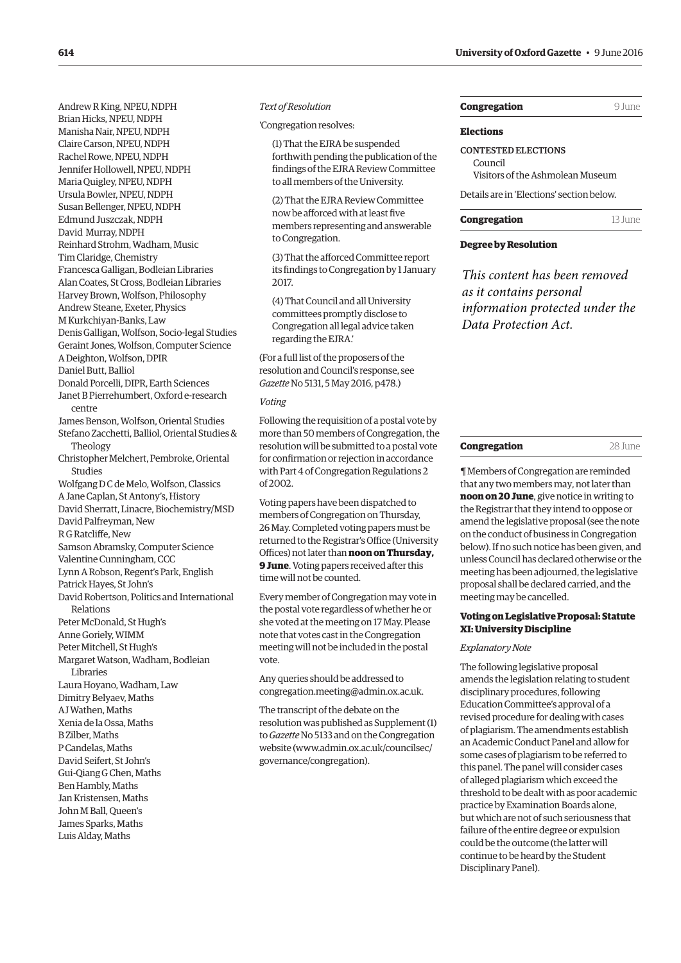| Andrew R King, NPEU, NDPH                      |
|------------------------------------------------|
| Brian Hicks, NPEU, NDPH                        |
| Manisha Nair, NPEU, NDPH                       |
| Claire Carson, NPEU, NDPH                      |
| Rachel Rowe, NPEU, NDPH                        |
| Jennifer Hollowell, NPEU, NDPH                 |
| Maria Quigley, NPEU, NDPH                      |
| Ursula Bowler, NPEU, NDPH                      |
| Susan Bellenger, NPEU, NDPH                    |
| Edmund Juszczak, NDPH                          |
| David Murray, NDPH                             |
| Reinhard Strohm, Wadham, Music                 |
| Tim Claridge, Chemistry                        |
| Francesca Galligan, Bodleian Libraries         |
| Alan Coates, St Cross, Bodleian Libraries      |
| Harvey Brown, Wolfson, Philosophy              |
| Andrew Steane, Exeter, Physics                 |
| M Kurkchiyan-Banks, Law                        |
| Denis Galligan, Wolfson, Socio-legal Studies   |
| Geraint Jones, Wolfson, Computer Science       |
| A Deighton, Wolfson, DPIR                      |
| Daniel Butt, Balliol                           |
| Donald Porcelli, DIPR, Earth Sciences          |
| Janet B Pierrehumbert, Oxford e-research       |
| centre                                         |
| James Benson, Wolfson, Oriental Studies        |
| Stefano Zacchetti, Balliol, Oriental Studies & |
| Theology                                       |
| Christopher Melchert, Pembroke, Oriental       |
| <b>Studies</b>                                 |
| Wolfgang D C de Melo, Wolfson, Classics        |
| A Jane Caplan, St Antony's, History            |
| David Sherratt, Linacre, Biochemistry/MSD      |
| David Palfreyman, New                          |
| R G Ratcliffe, New                             |
| Samson Abramsky, Computer Science              |
| Valentine Cunningham, CCC                      |
| Lynn A Robson, Regent's Park, English          |
| Patrick Hayes, St John's                       |
| David Robertson, Politics and International    |
| Relations                                      |
| Peter McDonald, St Hugh's                      |
| Anne Goriely, WIMM                             |
| Peter Mitchell, St Hugh's                      |
| Margaret Watson, Wadham, Bodleian              |
| Libraries                                      |
| Laura Hoyano, Wadham, Law                      |
| Dimitry Belyaev, Maths                         |
| AJ Wathen, Maths                               |
| Xenia de la Ossa, Maths                        |
| B Zilber, Maths                                |
| P Candelas, Maths                              |
| David Seifert, St John's                       |
| Gui-Qiang G Chen, Maths                        |
| Ben Hambly, Maths                              |
| Jan Kristensen, Maths                          |
| John M Ball, Queen's                           |
|                                                |
| James Sparks, Maths                            |
| Luis Alday, Maths                              |

#### *Text of Resolution*

'Congregation resolves:

(1) That the EJRA be suspended forthwith pending the publication of the findings of the EJRA Review Committee to all members of the University.

(2) That the EJRA Review Committee now be afforced with at least five members representing and answerable to Congregation.

(3) That the afforced Committee report its findings to Congregation by 1 January 2017.

(4) That Council and all University committees promptly disclose to Congregation all legal advice taken regarding the EJRA.'

(For a full list of the proposers of the resolution and Council's response, see *Gazette* [No 5131, 5 May 2016, p478.](http://www.ox.ac.uk/gazette/2015-2016/5may2016-no5131/congregation/#231246))

*Voting*

Following the requisition of a postal vote by more than 50 members of Congregation, the resolution will be submitted to a postal vote for confirmation or rejection in accordance with Part 4 of Congregation Regulations 2 of 2002.

Voting papers have been dispatched to members of Congregation on Thursday, 26 May. Completed voting papers must be returned to the Registrar's Office (University Offices) not later than **noon on Thursday, 9 June**. Voting papers received after this time will not be counted.

Every member of Congregation may vote in the postal vote regardless of whether he or she voted at the meeting on 17 May. Please note that votes cast in the Congregation meeting will not be included in the postal vote.

Any queries should be addressed to [congregation.meeting@admin.ox.ac.uk.](mailto:congregation.meeting@admin.ox.ac.uk)

The transcript of the debate on the [resolution was published as Supplement \(1\)](http://www.ox.ac.uk/gazette/2015-2016/26may2016-no5134/supplements/)  to *Gazette* No 5133 and on the Congregation website ([www.admin.ox.ac.uk/councilsec/](http://www.admin.ox.ac.uk/councilsec/governance/congregation) [governance/congregation\).](http://www.admin.ox.ac.uk/councilsec/governance/congregation)

## **Congregation** 9 June

#### **Elections**

CONTESTED ELECTIONS Council Visitors of the Ashmolean Museum Details are in ['Elections'](#page-13-0) section below.

# **Congregation** 13 June

# **Degree by Resolution**

*This content has been removed as it contains personal information protected under the Data Protection Act.*

| on<br>COL.<br>пот<br>⋯⋯ |  |
|-------------------------|--|
|                         |  |

¶ Members of Congregation are reminded that any two members may, not later than **noon on 20 June**, give notice in writing to the Registrar that they intend to oppose or amend the legislative proposal (see the note on the conduct of business in Congregation below). If no such notice has been given, and unless Council has declared otherwise or the meeting has been adjourned, the legislative proposal shall be declared carried, and the meeting may be cancelled.

# **Voting on Legislative Proposal: Statute XI: University Discipline**

## *Explanatory Note*

The following legislative proposal amends the legislation relating to student disciplinary procedures, following Education Committee's approval of a revised procedure for dealing with cases of plagiarism. The amendments establish an Academic Conduct Panel and allow for some cases of plagiarism to be referred to this panel. The panel will consider cases of alleged plagiarism which exceed the threshold to be dealt with as poor academic practice by Examination Boards alone, but which are not of such seriousness that failure of the entire degree or expulsion could be the outcome (the latter will continue to be heard by the Student Disciplinary Panel).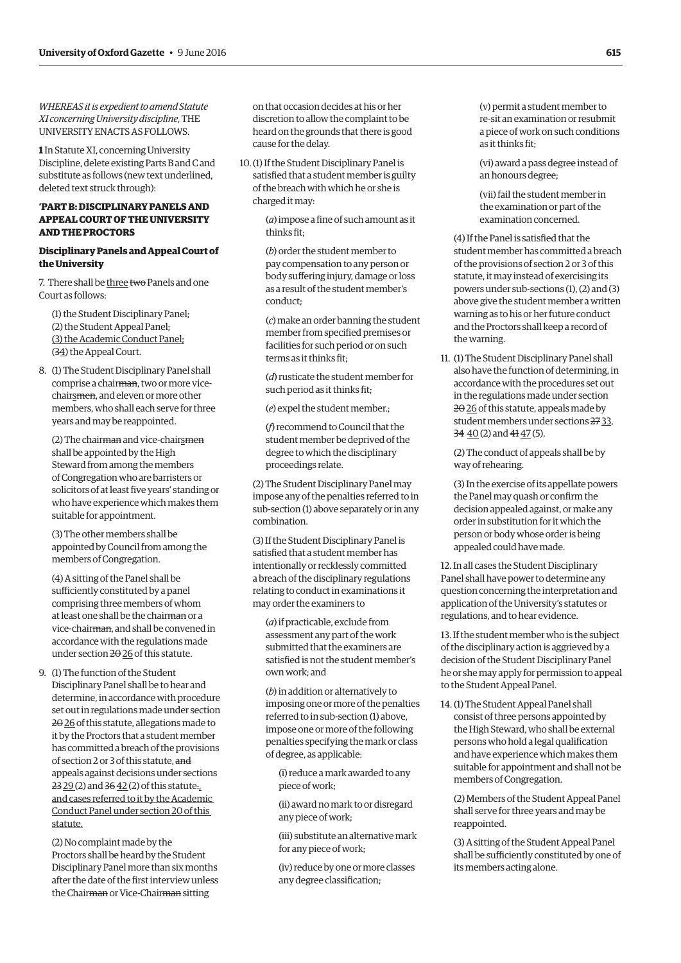*WHEREAS it is expedient to amend Statute XI concerning University discipline*, THE UNIVERSITY ENACTS AS FOLLOWS.

**1** In Statute XI, concerning University Discipline, delete existing Parts B and C and substitute as follows (new text underlined, deleted text struck through):

# **'PART B: DISCIPLINARY PANELS AND APPEAL COURT OF THE UNIVERSITY AND THE PROCTORS**

# **Disciplinary Panels and Appeal Court of the University**

7. There shall be three two Panels and one Court as follows:

(1) the Student Disciplinary Panel; (2) the Student Appeal Panel; (3) the Academic Conduct Panel; (34) the Appeal Court.

8. (1) The Student Disciplinary Panel shall comprise a chairman, two or more vicechairsmen, and eleven or more other members, who shall each serve for three years and may be reappointed.

(2) The chairman and vice-chairsmen shall be appointed by the High Steward from among the members of Congregation who are barristers or solicitors of at least five years' standing or who have experience which makes them suitable for appointment.

(3) The other members shall be appointed by Council from among the members of Congregation.

(4) A sitting of the Panel shall be sufficiently constituted by a panel comprising three members of whom at least one shall be the chairman or a vice-chairman, and shall be convened in accordance with the regulations made under section  $2\theta$  26 of this statute.

9. (1) The function of the Student Disciplinary Panel shall be to hear and determine, in accordance with procedure set out in regulations made under section 2026 of this statute, allegations made to it by the Proctors that a student member has committed a breach of the provisions of section 2 or 3 of this statute, and appeals against decisions under sections  $23\,29(2)$  and  $36\,42(2)$  of this statute. and cases referred to it by the Academic Conduct Panel under section 20 of this statute.

(2) No complaint made by the Proctors shall be heard by the Student Disciplinary Panel more than six months after the date of the first interview unless the Chairman or Vice-Chairman sitting

on that occasion decides at his or her discretion to allow the complaint to be heard on the grounds that there is good cause for the delay.

10.(1) If the Student Disciplinary Panel is satisfied that a student member is guilty of the breach with which he or she is charged it may:

> (*a*) impose a fine of such amount as it thinks fit;

> (*b*) order the student member to pay compensation to any person or body suffering injury, damage or loss as a result of the student member's conduct;

(*c*) make an order banning the student member from specified premises or facilities for such period or on such terms as it thinks fit;

(*d*) rusticate the student member for such period as it thinks fit;

(*e*) expel the student member.;

(*f*) recommend to Council that the student member be deprived of the degree to which the disciplinary proceedings relate.

(2) The Student Disciplinary Panel may impose any of the penalties referred to in sub-section (1) above separately or in any combination.

(3) If the Student Disciplinary Panel is satisfied that a student member has intentionally or recklessly committed a breach of the disciplinary regulations relating to conduct in examinations it may order the examiners to

(*a*) if practicable, exclude from assessment any part of the work submitted that the examiners are satisfied is not the student member's own work; and

(*b*) in addition or alternatively to imposing one or more of the penalties referred to in sub-section (1) above, impose one or more of the following penalties specifying the mark or class of degree, as applicable:

(i) reduce a mark awarded to any piece of work;

(ii) award no mark to or disregard any piece of work;

(iii) substitute an alternative mark for any piece of work;

(iv) reduce by one or more classes any degree classification;

(v) permit a student member to re-sit an examination or resubmit a piece of work on such conditions as it thinks fit;

(vi) award a pass degree instead of an honours degree;

(vii) fail the student member in the examination or part of the examination concerned.

(4) If the Panel is satisfied that the student member has committed a breach of the provisions of section 2 or 3 of this statute, it may instead of exercising its powers under sub-sections (1), (2) and (3) above give the student member a written warning as to his or her future conduct and the Proctors shall keep a record of the warning.

11. (1) The Student Disciplinary Panel shall also have the function of determining, in accordance with the procedures set out in the regulations made under section 2026 of this statute, appeals made by student members under sections 27 33, 34  $\underline{40}$  (2) and  $\underline{41}$   $\underline{47}$  (5).

(2) The conduct of appeals shall be by way of rehearing.

(3) In the exercise of its appellate powers the Panel may quash or confirm the decision appealed against, or make any order in substitution for it which the person or body whose order is being appealed could have made.

12. In all cases the Student Disciplinary Panel shall have power to determine any question concerning the interpretation and application of the University's statutes or regulations, and to hear evidence.

13. If the student member who is the subject of the disciplinary action is aggrieved by a decision of the Student Disciplinary Panel he or she may apply for permission to appeal to the Student Appeal Panel.

14. (1) The Student Appeal Panel shall consist of three persons appointed by the High Steward, who shall be external persons who hold a legal qualification and have experience which makes them suitable for appointment and shall not be members of Congregation.

(2) Members of the Student Appeal Panel shall serve for three years and may be reappointed.

(3) A sitting of the Student Appeal Panel shall be sufficiently constituted by one of its members acting alone.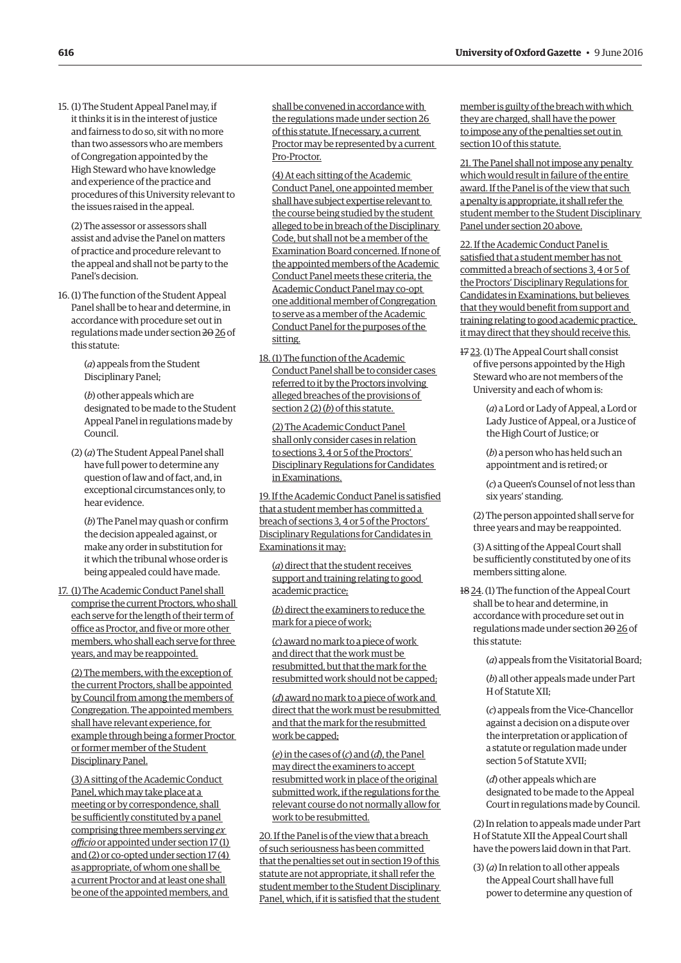15. (1) The Student Appeal Panel may, if it thinks it is in the interest of justice and fairness to do so, sit with no more than two assessors who are members of Congregation appointed by the High Steward who have knowledge and experience of the practice and procedures of this University relevant to the issues raised in the appeal.

(2) The assessor or assessors shall assist and advise the Panel on matters of practice and procedure relevant to the appeal and shall not be party to the Panel's decision.

16. (1) The function of the Student Appeal Panel shall be to hear and determine, in accordance with procedure set out in regulations made under section 2026 of this statute:

> (*a*) appeals from the Student Disciplinary Panel;

(*b*) other appeals which are designated to be made to the Student Appeal Panel in regulations made by Council.

(2) (*a*) The Student Appeal Panel shall have full power to determine any question of law and of fact, and, in exceptional circumstances only, to hear evidence.

(*b*) The Panel may quash or confirm the decision appealed against, or make any order in substitution for it which the tribunal whose order is being appealed could have made.

17. (1) The Academic Conduct Panel shall comprise the current Proctors, who shall each serve for the length of their term of office as Proctor, and five or more other members, who shall each serve for three years, and may be reappointed.

(2) The members, with the exception of the current Proctors, shall be appointed by Council from among the members of Congregation. The appointed members shall have relevant experience, for example through being a former Proctor or former member of the Student Disciplinary Panel.

(3) A sitting of the Academic Conduct Panel, which may take place at a meeting or by correspondence, shall be sufficiently constituted by a panel comprising three members serving *ex officio* or appointed under section 17 (1) and (2) or co-opted under section 17 (4) as appropriate, of whom one shall be a current Proctor and at least one shall be one of the appointed members, and

shall be convened in accordance with the regulations made under section 26 of this statute. If necessary, a current Proctor may be represented by a current Pro-Proctor.

(4) At each sitting of the Academic Conduct Panel, one appointed member shall have subject expertise relevant to the course being studied by the student alleged to be in breach of the Disciplinary Code, but shall not be a member of the Examination Board concerned. If none of the appointed members of the Academic Conduct Panel meets these criteria, the Academic Conduct Panel may co-opt one additional member of Congregation to serve as a member of the Academic Conduct Panel for the purposes of the sitting.

18. (1) The function of the Academic Conduct Panel shall be to consider cases referred to it by the Proctors involving alleged breaches of the provisions of section 2 (2) (*b*) of this statute.

(2) The Academic Conduct Panel shall only consider cases in relation to sections 3, 4 or 5 of the Proctors' Disciplinary Regulations for Candidates in Examinations.

19. If the Academic Conduct Panel is satisfied that a student member has committed a breach of sections 3, 4 or 5 of the Proctors' Disciplinary Regulations for Candidates in Examinations it may:

(*a*) direct that the student receives support and training relating to good academic practice;

(*b*) direct the examiners to reduce the mark for a piece of work;

(*c*) award no mark to a piece of work and direct that the work must be resubmitted, but that the mark for the resubmitted work should not be capped;

(*d*) award no mark to a piece of work and direct that the work must be resubmitted and that the mark for the resubmitted work be capped;

(*e*) in the cases of (*c*) and (*d*), the Panel may direct the examiners to accept resubmitted work in place of the original submitted work, if the regulations for the relevant course do not normally allow for work to be resubmitted.

20. If the Panel is of the view that a breach of such seriousness has been committed that the penalties set out in section 19 of this statute are not appropriate, it shall refer the student member to the Student Disciplinary Panel, which, if it is satisfied that the student member is guilty of the breach with which they are charged, shall have the power to impose any of the penalties set out in section 10 of this statute.

21. The Panel shall not impose any penalty which would result in failure of the entire award. If the Panel is of the view that such a penalty is appropriate, it shall refer the student member to the Student Disciplinary Panel under section 20 above.

22. If the Academic Conduct Panel is satisfied that a student member has not committed a breach of sections 3, 4 or 5 of the Proctors' Disciplinary Regulations for Candidates in Examinations, but believes that they would benefit from support and training relating to good academic practice, it may direct that they should receive this.

17 23. (1) The Appeal Court shall consist of five persons appointed by the High Steward who are not members of the University and each of whom is:

> (*a*) a Lord or Lady of Appeal, a Lord or Lady Justice of Appeal, or a Justice of the High Court of Justice; or

(*b*) a person who has held such an appointment and is retired; or

(*c*) a Queen's Counsel of not less than six years' standing.

(2) The person appointed shall serve for three years and may be reappointed.

(3) A sitting of the Appeal Court shall be sufficiently constituted by one of its members sitting alone.

18 24. (1) The function of the Appeal Court shall be to hear and determine, in accordance with procedure set out in regulations made under section 20 26 of this statute:

(*a*) appeals from the Visitatorial Board;

(*b*) all other appeals made under Part H of Statute XII;

(*c*) appeals from the Vice-Chancellor against a decision on a dispute over the interpretation or application of a statute or regulation made under section 5 of Statute XVII;

(*d*) other appeals which are designated to be made to the Appeal Court in regulations made by Council.

(2) In relation to appeals made under Part H of Statute XII the Appeal Court shall have the powers laid down in that Part.

(3) (*a*) In relation to all other appeals the Appeal Court shall have full power to determine any question of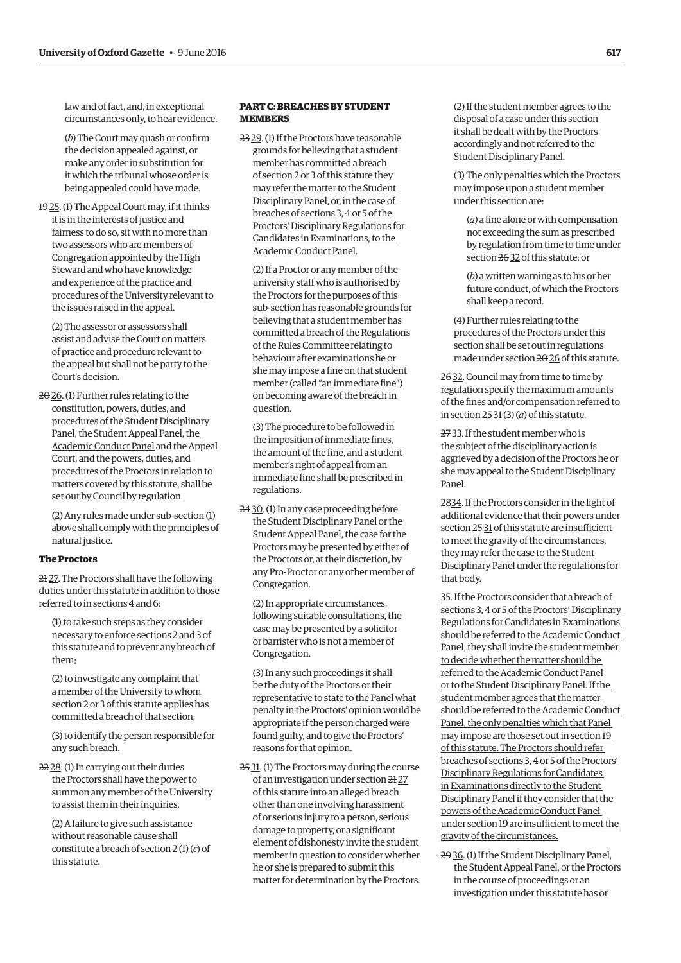law and of fact, and, in exceptional circumstances only, to hear evidence.

(*b*) The Court may quash or confirm the decision appealed against, or make any order in substitution for it which the tribunal whose order is being appealed could have made.

19 25. (1) The Appeal Court may, if it thinks it is in the interests of justice and fairness to do so, sit with no more than two assessors who are members of Congregation appointed by the High Steward and who have knowledge and experience of the practice and procedures of the University relevant to the issues raised in the appeal.

(2) The assessor or assessors shall assist and advise the Court on matters of practice and procedure relevant to the appeal but shall not be party to the Court's decision.

2026. (1) Further rules relating to the constitution, powers, duties, and procedures of the Student Disciplinary Panel, the Student Appeal Panel, the Academic Conduct Panel and the Appeal Court, and the powers, duties, and procedures of the Proctors in relation to matters covered by this statute, shall be set out by Council by regulation.

(2) Any rules made under sub-section (1) above shall comply with the principles of natural justice.

### **The Proctors**

21 27. The Proctors shall have the following duties under this statute in addition to those referred to in sections 4 and 6:

(1) to take such steps as they consider necessary to enforce sections 2 and 3 of this statute and to prevent any breach of them;

(2) to investigate any complaint that a member of the University to whom section 2 or 3 of this statute applies has committed a breach of that section;

(3) to identify the person responsible for any such breach.

22 28. (1) In carrying out their duties the Proctors shall have the power to summon any member of the University to assist them in their inquiries.

(2) A failure to give such assistance without reasonable cause shall constitute a breach of section 2 (1) (*c*) of this statute.

# **PART C: BREACHES BY STUDENT MEMBERS**

23 29. (1) If the Proctors have reasonable grounds for believing that a student member has committed a breach of section 2 or 3 of this statute they may refer the matter to the Student Disciplinary Panel, or, in the case of breaches of sections 3, 4 or 5 of the Proctors' Disciplinary Regulations for Candidates in Examinations, to the Academic Conduct Panel.

(2) If a Proctor or any member of the university staff who is authorised by the Proctors for the purposes of this sub-section has reasonable grounds for believing that a student member has committed a breach of the Regulations of the Rules Committee relating to behaviour after examinations he or she may impose a fine on that student member (called "an immediate fine") on becoming aware of the breach in question.

(3) The procedure to be followed in the imposition of immediate fines, the amount of the fine, and a student member's right of appeal from an immediate fine shall be prescribed in regulations.

24 30. (1) In any case proceeding before the Student Disciplinary Panel or the Student Appeal Panel, the case for the Proctors may be presented by either of the Proctors or, at their discretion, by any Pro-Proctor or any other member of Congregation.

(2) In appropriate circumstances, following suitable consultations, the case may be presented by a solicitor or barrister who is not a member of Congregation.

(3) In any such proceedings it shall be the duty of the Proctors or their representative to state to the Panel what penalty in the Proctors' opinion would be appropriate if the person charged were found guilty, and to give the Proctors' reasons for that opinion.

25 31. (1) The Proctors may during the course of an investigation under section 21 27 of this statute into an alleged breach other than one involving harassment of or serious injury to a person, serious damage to property, or a significant element of dishonesty invite the student member in question to consider whether he or she is prepared to submit this matter for determination by the Proctors. (2) If the student member agrees to the disposal of a case under this section it shall be dealt with by the Proctors accordingly and not referred to the Student Disciplinary Panel.

(3) The only penalties which the Proctors may impose upon a student member under this section are:

(*a*) a fine alone or with compensation not exceeding the sum as prescribed by regulation from time to time under section 26 32 of this statute; or

(*b*) a written warning as to his or her future conduct, of which the Proctors shall keep a record.

(4) Further rules relating to the procedures of the Proctors under this section shall be set out in regulations made under section 20 26 of this statute.

26 32. Council may from time to time by regulation specify the maximum amounts of the fines and/or compensation referred to in section  $25$  31(3)(*a*) of this statute.

27 33. If the student member who is the subject of the disciplinary action is aggrieved by a decision of the Proctors he or she may appeal to the Student Disciplinary Panel.

2834. If the Proctors consider in the light of additional evidence that their powers under section 25 31 of this statute are insufficient to meet the gravity of the circumstances, they may refer the case to the Student Disciplinary Panel under the regulations for that body.

35. If the Proctors consider that a breach of sections 3, 4 or 5 of the Proctors' Disciplinary Regulations for Candidates in Examinations should be referred to the Academic Conduct Panel, they shall invite the student member to decide whether the matter should be referred to the Academic Conduct Panel or to the Student Disciplinary Panel. If the student member agrees that the matter should be referred to the Academic Conduct Panel, the only penalties which that Panel may impose are those set out in section 19 of this statute. The Proctors should refer breaches of sections 3, 4 or 5 of the Proctors' Disciplinary Regulations for Candidates in Examinations directly to the Student Disciplinary Panel if they consider that the powers of the Academic Conduct Panel under section 19 are insufficient to meet the gravity of the circumstances.

29 36. (1) If the Student Disciplinary Panel, the Student Appeal Panel, or the Proctors in the course of proceedings or an investigation under this statute has or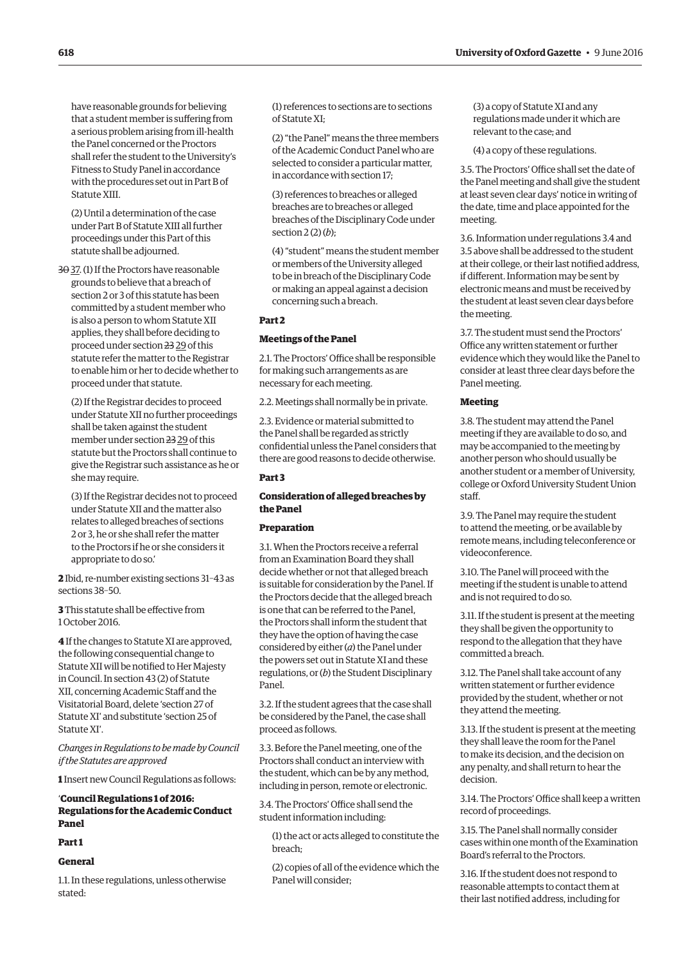have reasonable grounds for believing that a student member is suffering from a serious problem arising from ill-health the Panel concerned or the Proctors shall refer the student to the University's Fitness to Study Panel in accordance with the procedures set out in Part B of Statute XIII.

(2) Until a determination of the case under Part B of Statute XIII all further proceedings under this Part of this statute shall be adjourned.

3037. (1) If the Proctors have reasonable grounds to believe that a breach of section 2 or 3 of this statute has been committed by a student member who is also a person to whom Statute XII applies, they shall before deciding to proceed under section 23 29 of this statute refer the matter to the Registrar to enable him or her to decide whether to proceed under that statute.

(2) If the Registrar decides to proceed under Statute XII no further proceedings shall be taken against the student member under section 23 29 of this statute but the Proctors shall continue to give the Registrar such assistance as he or she may require.

(3) If the Registrar decides not to proceed under Statute XII and the matter also relates to alleged breaches of sections 2 or 3, he or she shall refer the matter to the Proctors if he or she considers it appropriate to do so.'

**2** Ibid, re-number existing sections 31–43 as sections 38–50.

**3** This statute shall be effective from 1 October 2016.

**4** If the changes to Statute XI are approved, the following consequential change to Statute XII will be notified to Her Majesty in Council. In section 43 (2) of Statute XII, concerning Academic Staff and the Visitatorial Board, delete 'section 27 of Statute XI' and substitute 'section 25 of Statute XI'.

*Changes in Regulations to be made by Council if the Statutes are approved*

**1** Insert new Council Regulations as follows:

# '**Council Regulations 1 of 2016: Regulations for the Academic Conduct Panel**

# **Part 1**

#### **General**

1.1. In these regulations, unless otherwise stated:

(1) references to sections are to sections of Statute XI;

(2) "the Panel" means the three members of the Academic Conduct Panel who are selected to consider a particular matter, in accordance with section 17;

(3) references to breaches or alleged breaches are to breaches or alleged breaches of the Disciplinary Code under section 2 (2) (*b*);

(4) "student" means the student member or members of the University alleged to be in breach of the Disciplinary Code or making an appeal against a decision concerning such a breach.

# **Part 2**

#### **Meetings of the Panel**

2.1. The Proctors' Office shall be responsible for making such arrangements as are necessary for each meeting.

2.2. Meetings shall normally be in private.

2.3. Evidence or material submitted to the Panel shall be regarded as strictly confidential unless the Panel considers that there are good reasons to decide otherwise.

# **Part 3**

# **Consideration of alleged breaches by the Panel**

# **Preparation**

3.1. When the Proctors receive a referral from an Examination Board they shall decide whether or not that alleged breach is suitable for consideration by the Panel. If the Proctors decide that the alleged breach is one that can be referred to the Panel, the Proctors shall inform the student that they have the option of having the case considered by either (*a*) the Panel under the powers set out in Statute XI and these regulations, or (*b*) the Student Disciplinary Panel.

3.2. If the student agrees that the case shall be considered by the Panel, the case shall proceed as follows.

3.3. Before the Panel meeting, one of the Proctors shall conduct an interview with the student, which can be by any method, including in person, remote or electronic.

3.4. The Proctors' Office shall send the student information including:

(1) the act or acts alleged to constitute the breach;

(2) copies of all of the evidence which the Panel will consider;

(3) a copy of Statute XI and any regulations made under it which are relevant to the case; and

(4) a copy of these regulations.

3.5. The Proctors' Office shall set the date of the Panel meeting and shall give the student at least seven clear days' notice in writing of the date, time and place appointed for the meeting.

3.6. Information under regulations 3.4 and 3.5 above shall be addressed to the student at their college, or their last notified address, if different. Information may be sent by electronic means and must be received by the student at least seven clear days before the meeting.

3.7. The student must send the Proctors' Office any written statement or further evidence which they would like the Panel to consider at least three clear days before the Panel meeting.

#### **Meeting**

3.8. The student may attend the Panel meeting if they are available to do so, and may be accompanied to the meeting by another person who should usually be another student or a member of University, college or Oxford University Student Union staff.

3.9. The Panel may require the student to attend the meeting, or be available by remote means, including teleconference or videoconference.

3.10. The Panel will proceed with the meeting if the student is unable to attend and is not required to do so.

3.11. If the student is present at the meeting they shall be given the opportunity to respond to the allegation that they have committed a breach.

3.12. The Panel shall take account of any written statement or further evidence provided by the student, whether or not they attend the meeting.

3.13. If the student is present at the meeting they shall leave the room for the Panel to make its decision, and the decision on any penalty, and shall return to hear the decision.

3.14. The Proctors' Office shall keep a written record of proceedings.

3.15. The Panel shall normally consider cases within one month of the Examination Board's referral to the Proctors.

3.16. If the student does not respond to reasonable attempts to contact them at their last notified address, including for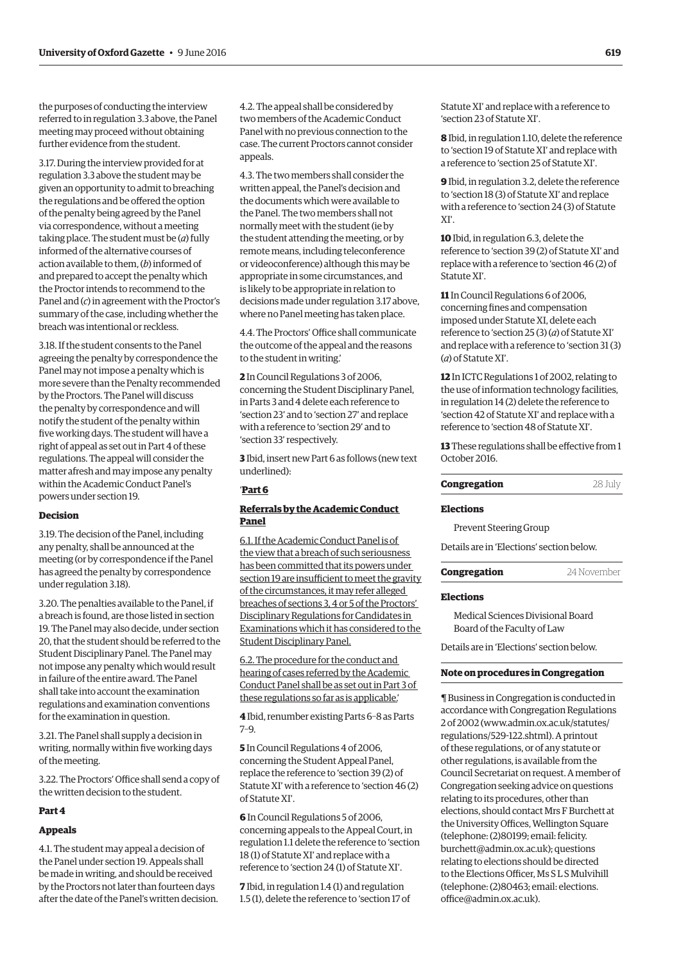the purposes of conducting the interview referred to in regulation 3.3 above, the Panel meeting may proceed without obtaining further evidence from the student.

3.17. During the interview provided for at regulation 3.3 above the student may be given an opportunity to admit to breaching the regulations and be offered the option of the penalty being agreed by the Panel via correspondence, without a meeting taking place. The student must be (*a*) fully informed of the alternative courses of action available to them, (*b*) informed of and prepared to accept the penalty which the Proctor intends to recommend to the Panel and (*c*) in agreement with the Proctor's summary of the case, including whether the breach was intentional or reckless.

3.18. If the student consents to the Panel agreeing the penalty by correspondence the Panel may not impose a penalty which is more severe than the Penalty recommended by the Proctors. The Panel will discuss the penalty by correspondence and will notify the student of the penalty within five working days. The student will have a right of appeal as set out in Part 4 of these regulations. The appeal will consider the matter afresh and may impose any penalty within the Academic Conduct Panel's powers under section 19.

#### **Decision**

3.19. The decision of the Panel, including any penalty, shall be announced at the meeting (or by correspondence if the Panel has agreed the penalty by correspondence under regulation 3.18).

3.20. The penalties available to the Panel, if a breach is found, are those listed in section 19. The Panel may also decide, under section 20, that the student should be referred to the Student Disciplinary Panel. The Panel may not impose any penalty which would result in failure of the entire award. The Panel shall take into account the examination regulations and examination conventions for the examination in question.

3.21. The Panel shall supply a decision in writing, normally within five working days of the meeting.

3.22. The Proctors' Office shall send a copy of the written decision to the student.

### **Part 4**

# **Appeals**

4.1. The student may appeal a decision of the Panel under section 19. Appeals shall be made in writing, and should be received by the Proctors not later than fourteen days after the date of the Panel's written decision.

4.2. The appeal shall be considered by two members of the Academic Conduct Panel with no previous connection to the case. The current Proctors cannot consider appeals.

4.3. The two members shall consider the written appeal, the Panel's decision and the documents which were available to the Panel. The two members shall not normally meet with the student (ie by the student attending the meeting, or by remote means, including teleconference or videoconference) although this may be appropriate in some circumstances, and is likely to be appropriate in relation to decisions made under regulation 3.17 above, where no Panel meeting has taken place.

4.4. The Proctors' Office shall communicate the outcome of the appeal and the reasons to the student in writing.'

**2** In Council Regulations 3 of 2006, concerning the Student Disciplinary Panel, in Parts 3 and 4 delete each reference to 'section 23' and to 'section 27' and replace with a reference to 'section 29' and to 'section 33' respectively.

**3** Ibid, insert new Part 6 as follows (new text underlined):

# '**Part 6**

## **Referrals by the Academic Conduct Panel**

6.1. If the Academic Conduct Panel is of the view that a breach of such seriousness has been committed that its powers under section 19 are insufficient to meet the gravity of the circumstances, it may refer alleged breaches of sections 3, 4 or 5 of the Proctors' Disciplinary Regulations for Candidates in Examinations which it has considered to the Student Disciplinary Panel.

6.2. The procedure for the conduct and hearing of cases referred by the Academic Conduct Panel shall be as set out in Part 3 of these regulations so far as is applicable.'

**4** Ibid, renumber existing Parts 6–8 as Parts 7–9.

**5** In Council Regulations 4 of 2006, concerning the Student Appeal Panel, replace the reference to 'section 39 (2) of Statute XI' with a reference to 'section 46 (2) of Statute XI'.

**6** In Council Regulations 5 of 2006, concerning appeals to the Appeal Court, in regulation 1.1 delete the reference to 'section 18 (1) of Statute XI' and replace with a reference to 'section 24 (1) of Statute XI'.

**7** Ibid, in regulation 1.4 (1) and regulation 1.5 (1), delete the reference to 'section 17 of Statute XI' and replace with a reference to 'section 23 of Statute XI'.

**8** Ibid, in regulation 1.10, delete the reference to 'section 19 of Statute XI' and replace with a reference to 'section 25 of Statute XI'.

**9** Ibid, in regulation 3.2, delete the reference to 'section 18 (3) of Statute XI' and replace with a reference to 'section 24 (3) of Statute XI'.

**10** Ibid, in regulation 6.3, delete the reference to 'section 39 (2) of Statute XI' and replace with a reference to 'section 46 (2) of Statute XI'.

**11** In Council Regulations 6 of 2006, concerning fines and compensation imposed under Statute XI, delete each reference to 'section 25 (3) (*a*) of Statute XI' and replace with a reference to 'section 31 (3) (*a*) of Statute XI'.

**12** In ICTC Regulations 1 of 2002, relating to the use of information technology facilities, in regulation 14 (2) delete the reference to 'section 42 of Statute XI' and replace with a reference to 'section 48 of Statute XI'.

**13** These regulations shall be effective from 1 October 2016.

#### **Congregation** 28 July

#### **Elections**

Prevent Steering Group

Details are in '[Elections'](#page-15-0) section below.

**Congregation** 24 November

#### **Elections**

Medical Sciences Divisional Board Board of the Faculty of Law

Details are in '[Elections'](#page-15-0) section below.

# **Note on procedures in Congregation**

¶ Business in Congregation is conducted in accordance with Congregation Regulations 2 of 2002 [\(www.admin.ox.ac.uk/statutes/](http://www.admin.ox.ac.uk/statutes/regulations/529-122.shtml) [regulations/529-122.shtml\). A p](http://www.admin.ox.ac.uk/statutes/regulations/529-122.shtml)rintout of these regulations, or of any statute or other regulations, is available from the Council Secretariat on request. A member of Congregation seeking advice on questions relating to its procedures, other than elections, should contact Mrs F Burchett at the University Offices, Wellington Square (telephone: (2)80199; email: felicity. [burchett@admin.ox.ac.uk\); questions](mailto:felicity.burchett@admin.ox.ac.uk)  relating to elections should be directed to the Elections Officer, Ms S L S Mulvihill [\(telephone: \(2\)80463; email: elections.](mailto:elections.office@admin.ox.ac.uk) office@admin.ox.ac.uk).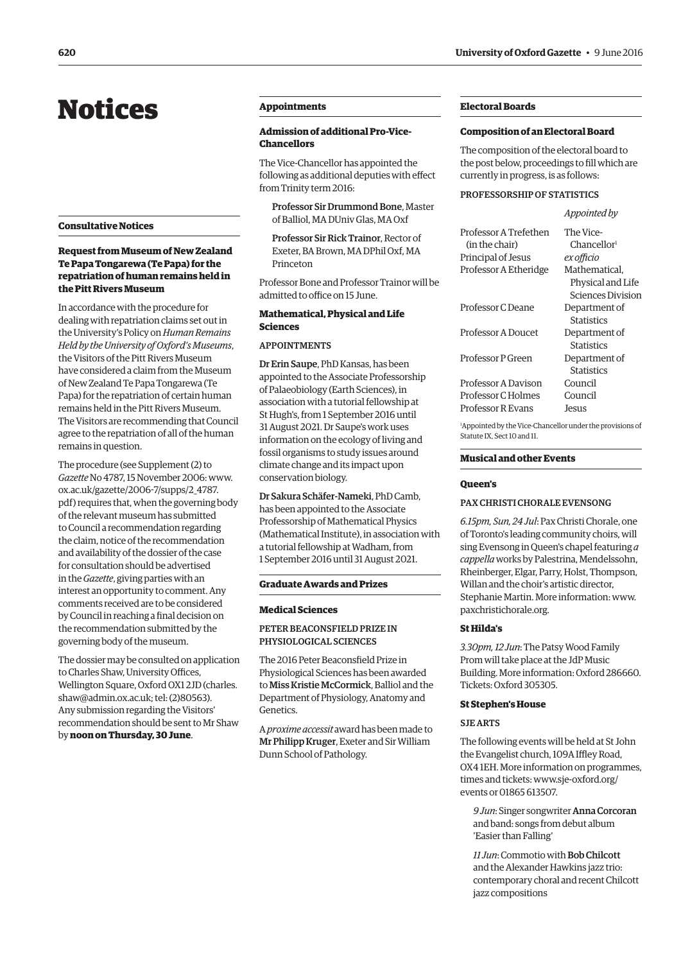# <span id="page-9-0"></span>Notices

## **Consultative Notices**

# **Request from Museum of New Zealand Te Papa Tongarewa (Te Papa) for the repatriation of human remains held in the Pitt Rivers Museum**

In accordance with the procedure for dealing with repatriation claims set out in the University's Policy on *Human Remains Held by the University of Oxford's Museums*, the Visitors of the Pitt Rivers Museum have considered a claim from the Museum of New Zealand Te Papa Tongarewa (Te Papa) for the repatriation of certain human remains held in the Pitt Rivers Museum. The Visitors are recommending that Council agree to the repatriation of all of the human remains in question.

The procedure (see Supplement (2) to *Gazette* No 4787, 15 November 2006: www. ox.ac.uk/gazette/2006-7/supps/2\_4787. [pdf\) requires that, when the governing body](www.ox.ac.uk/gazette/2006-7/supps/2_4787.pdf)  of the relevant museum has submitted to Council a recommendation regarding the claim, notice of the recommendation and availability of the dossier of the case for consultation should be advertised in the *Gazette*, giving parties with an interest an opportunity to comment. Any comments received are to be considered by Council in reaching a final decision on the recommendation submitted by the governing body of the museum.

The dossier may be consulted on application to Charles Shaw, University Offices, [Wellington Square, Oxford OX1 2JD \(charles.](mailto:charles.shaw@admin.ox.ac.uk) shaw@admin.ox.ac.uk; tel: (2)80563). Any submission regarding the Visitors' recommendation should be sent to Mr Shaw by **noon on Thursday, 30 June**.

# **Appointments**

# **Admission of additional Pro-Vice-Chancellors**

The Vice-Chancellor has appointed the following as additional deputies with effect from Trinity term 2016:

Professor Sir Drummond Bone, Master of Balliol, MA DUniv Glas, MA Oxf

Professor Sir Rick Trainor, Rector of Exeter, BA Brown, MA DPhil Oxf, MA Princeton

Professor Bone and Professor Trainor will be admitted to office on 15 June.

# **Mathematical, Physical and Life Sciences**

#### APPOINTMENTS

Dr Erin Saupe, PhD Kansas, has been appointed to the Associate Professorship of Palaeobiology (Earth Sciences), in association with a tutorial fellowship at St Hugh's, from 1 September 2016 until 31 August 2021. Dr Saupe's work uses information on the ecology of living and fossil organisms to study issues around climate change and its impact upon conservation biology.

Dr Sakura Schäfer-Nameki, PhD Camb, has been appointed to the Associate Professorship of Mathematical Physics (Mathematical Institute), in association with a tutorial fellowship at Wadham, from 1 September 2016 until 31 August 2021.

#### **Graduate Awards and Prizes**

#### **Medical Sciences**

#### PETER BEACONSFIELD PRIZE IN PHYSIOLOGICAL SCIENCES

The 2016 Peter Beaconsfield Prize in Physiological Sciences has been awarded to Miss Kristie McCormick, Balliol and the Department of Physiology, Anatomy and Genetics.

A *proxime accessit* award has been made to Mr Philipp Kruger, Exeter and Sir William Dunn School of Pathology.

# **Electoral Boards**

#### **Composition of an Electoral Board**

The composition of the electoral board to the post below, proceedings to fill which are currently in progress, is as follows:

#### PROFESSORSHIP OF STATISTICS

*Appointed by*

| Professor A Trefethen | The Vice-                |
|-----------------------|--------------------------|
| (in the chair)        | Chancellor <sup>1</sup>  |
| Principal of Jesus    | ex officio               |
| Professor A Etheridge | Mathematical.            |
|                       | Physical and Life        |
|                       | <b>Sciences Division</b> |
| Professor C Deane     | Department of            |
|                       | <b>Statistics</b>        |
| Professor A Doucet    | Department of            |
|                       | <b>Statistics</b>        |
| Professor P Green     | Department of            |
|                       | <b>Statistics</b>        |
| Professor A Davison   | Council                  |
| Professor C Holmes    | Council                  |
| Professor R Evans     | Jesus                    |
|                       |                          |

1 Appointed by the Vice-Chancellor under the provisions of Statute IX, Sect 10 and 11.

#### **Musical and other Events**

#### **Queen's**

# PAX CHRISTI CHORALE EVENSONG

*6.15pm, Sun, 24 Jul*: Pax Christi Chorale, one of Toronto's leading community choirs, will sing Evensong in Queen's chapel featuring *a cappella* works by Palestrina, Mendelssohn, Rheinberger, Elgar, Parry, Holst, Thompson, Willan and the choir's artistic director, Stephanie Martin. More information: [www.](http://www.paxchristichorale.org) [paxchristichorale.org.](http://www.paxchristichorale.org)

#### **St Hilda's**

*3.30pm, 12 Jun*: The Patsy Wood Family Prom will take place at the JdP Music Building. More information: Oxford 286660. Tickets: Oxford 305305.

#### **St Stephen's House**

#### SJE ARTS

The following events will be held at St John the Evangelist church, 109A Iffley Road, OX4 1EH. More information on programmes, [times and tickets: www.sje-oxford.org/](http://www.sje-oxford.org/events) events or 01865 613507.

*9 Jun*: Singer songwriter Anna Corcoran and band: songs from debut album 'Easier than Falling'

*11 Jun*: Commotio with Bob Chilcott and the Alexander Hawkins jazz trio: contemporary choral and recent Chilcott jazz compositions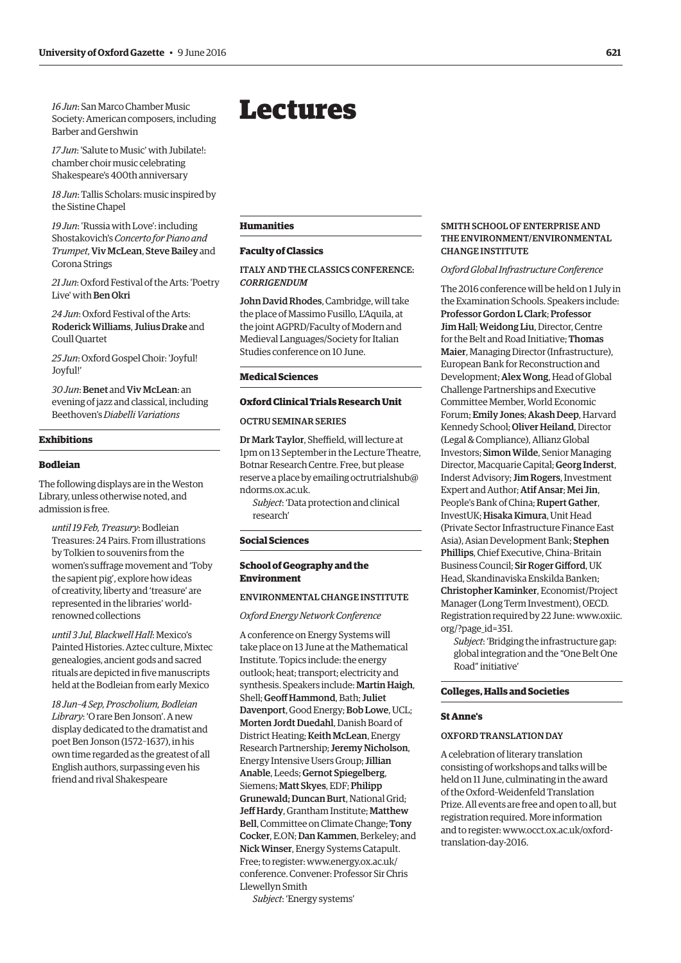<span id="page-10-0"></span>*16 Jun*: San Marco Chamber Music Society: American composers, including Barber and Gershwin

*17 Jun*: 'Salute to Music' with Jubilate!: chamber choir music celebrating Shakespeare's 400th anniversary

*18 Jun*: Tallis Scholars: music inspired by the Sistine Chapel

*19 Jun*: 'Russia with Love': including Shostakovich's *Concerto for Piano and Trumpet*, Viv McLean, Steve Bailey and Corona Strings

*21 Jun*: Oxford Festival of the Arts: 'Poetry Live' with Ben Okri

*24 Jun*: Oxford Festival of the Arts: Roderick Williams, Julius Drake and Coull Quartet

*25 Jun*: Oxford Gospel Choir: 'Joyful! Joyful!'

30 Jun: Benet and Viv McLean: an evening of jazz and classical, including Beethoven's *Diabelli Variations*

# **Exhibitions**

#### **Bodleian**

The following displays are in the Weston Library, unless otherwise noted, and admission is free.

*until 19 Feb, Treasury*: Bodleian Treasures: 24 Pairs. From illustrations by Tolkien to souvenirs from the women's suffrage movement and 'Toby the sapient pig', explore how ideas of creativity, liberty and 'treasure' are represented in the libraries' worldrenowned collections

*until 3 Jul, Blackwell Hall*: Mexico's Painted Histories. Aztec culture, Mixtec genealogies, ancient gods and sacred rituals are depicted in five manuscripts held at the Bodleian from early Mexico

*18 Jun–4 Sep, Proscholium, Bodleian Library*: 'O rare Ben Jonson'. A new display dedicated to the dramatist and poet Ben Jonson (1572–1637), in his own time regarded as the greatest of all English authors, surpassing even his friend and rival Shakespeare

# Lectures

#### **Humanities**

#### **Faculty of Classics**

# ITALY AND THE CLASSICS CONFERENCE: *CORRIGENDUM*

John David Rhodes, Cambridge, will take the place of Massimo Fusillo, L'Aquila, at the joint AGPRD/Faculty of Modern and Medieval Languages/Society for Italian Studies conference on 10 June.

#### **Medical Sciences**

#### **Oxford Clinical Trials Research Unit**

# OCTRU SEMINAR SERIES

Dr Mark Taylor, Sheffield, will lecture at 1pm on 13 September in the Lecture Theatre, Botnar Research Centre. Free, but please [reserve a place by emailing octrutrialshub@](mailto:octrutrialshub@ndorms.ox.ac.uk) ndorms.ox.ac.uk.

*Subject*: 'Data protection and clinical research'

## **Social Sciences**

# **School of Geography and the Environment**

#### ENVIRONMENTAL CHANGE INSTITUTE

*Oxford Energy Network Conference* 

A conference on Energy Systems will take place on 13 June at the Mathematical Institute. Topics include: the energy outlook; heat; transport; electricity and synthesis. Speakers include: Martin Haigh, Shell; Geoff Hammond, Bath; Juliet Davenport, Good Energy; Bob Lowe, UCL; Morten Jordt Duedahl, Danish Board of District Heating; Keith McLean, Energy Research Partnership; Jeremy Nicholson, Energy Intensive Users Group; Jillian Anable, Leeds; Gernot Spiegelberg, Siemens; Matt Skyes, EDF; Philipp Grunewald; Duncan Burt, National Grid; Jeff Hardy, Grantham Institute; Matthew Bell, Committee on Climate Change; Tony Cocker, E.ON; Dan Kammen, Berkeley; and Nick Winser, Energy Systems Catapult. Free; to register: www.energy.ox.ac.uk/ [conference. Convener: Professor Sir Chris](www.energy.ox.ac.uk/conference)  Llewellyn Smith

*Subject*: 'Energy systems'

#### SMITH SCHOOL OF ENTERPRISE AND THE ENVIRONMENT/ENVIRONMENTAL CHANGE INSTITUTE

*Oxford Global Infrastructure Conference*

The 2016 conference will be held on 1 July in the Examination Schools. Speakers include: Professor Gordon L Clark; Professor Jim Hall; Weidong Liu, Director, Centre for the Belt and Road Initiative; Thomas Maier, Managing Director (Infrastructure), European Bank for Reconstruction and Development; Alex Wong, Head of Global Challenge Partnerships and Executive Committee Member, World Economic Forum; Emily Jones; Akash Deep, Harvard Kennedy School; Oliver Heiland, Director (Legal & Compliance), Allianz Global Investors; Simon Wilde, Senior Managing Director, Macquarie Capital; Georg Inderst, Inderst Advisory; Jim Rogers, Investment Expert and Author; Atif Ansar; Mei Jin, People's Bank of China; Rupert Gather, InvestUK; Hisaka Kimura, Unit Head (Private Sector Infrastructure Finance East Asia), Asian Development Bank; Stephen Phillips, Chief Executive, China–Britain Business Council; Sir Roger Gifford, UK Head, Skandinaviska Enskilda Banken; Christopher Kaminker, Economist/Project Manager (Long Term Investment), OECD. [Registration required by 22 June: www.oxiic.](www.oxiic.org/?page_id=351) org/?page\_id=351.

*Subject*: 'Bridging the infrastructure gap: global integration and the "One Belt One Road" initiative'

#### **Colleges, Halls and Societies**

#### **St Anne's**

# OXFORD TRANSLATION DAY

A celebration of literary translation consisting of workshops and talks will be held on 11 June, culminating in the award of the Oxford–Weidenfeld Translation Prize. All events are free and open to all, but registration required. More information [and to register: www.occt.ox.ac.uk/oxford](www.occt.ox.ac.uk/oxford-translation-day-2016)translation-day-2016.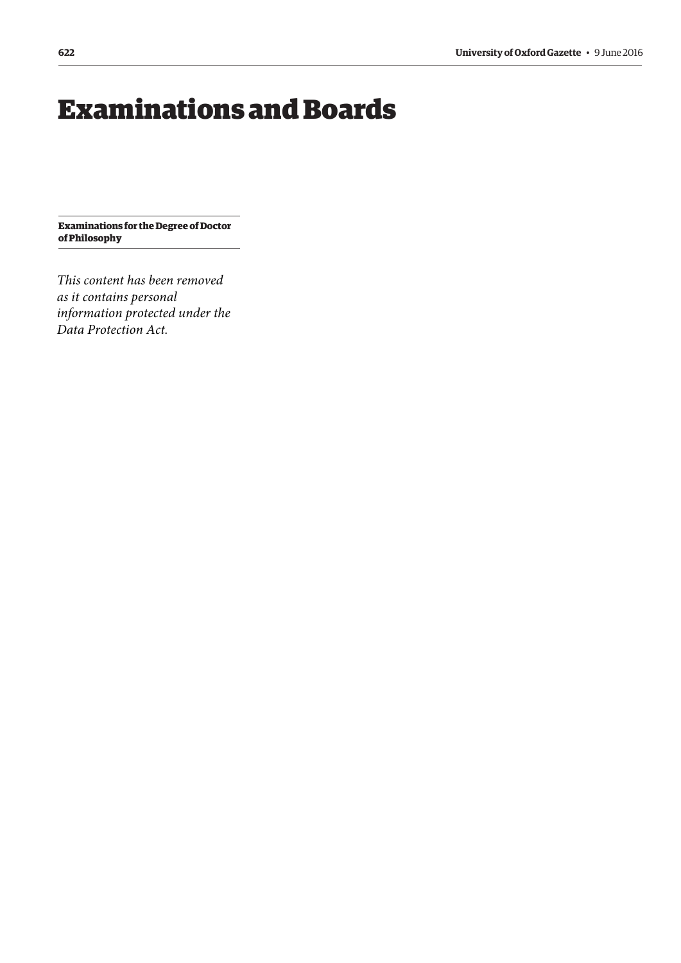# <span id="page-11-0"></span>Examinations and Boards

**Examinations for the Degree of Doctor of Philosophy**

*This content has been removed as it contains personal information protected under the Data Protection Act.*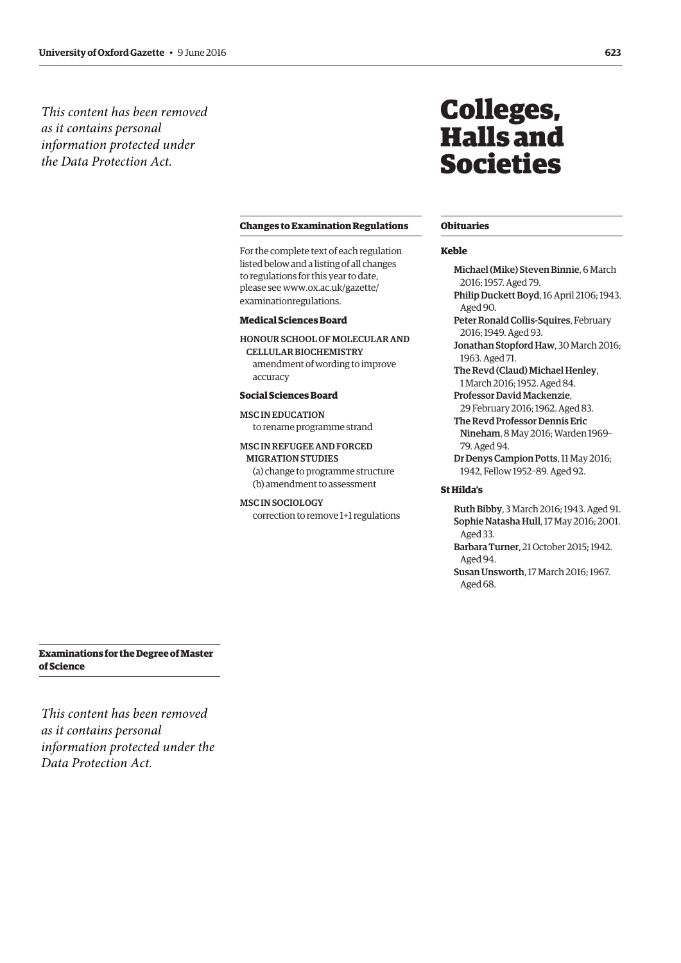<span id="page-12-0"></span>*This content has been removed as it contains personal information protected under the Data Protection Act.*

#### **Changes to Examination Regulations**

For the complete text of each regulation listed below and a listing of all changes to regulations for this year to date, please see www.ox.ac.uk/gazette/ [examinationregulations.](www.ox.ac.uk/gazette/examinationregulations)

#### **Medical Sciences Board**

HONOUR SCHOOL OF MOLECULAR AND CELLULAR BIOCHEMISTRY amendment of wording to improve accuracy

#### **Social Sciences Board**

MSC IN EDUCATION to rename programme strand

## MSC IN REFUGEE AND FORCED

MIGRATION STUDIES (a) change to programme structure (b) amendment to assessment

#### MSC IN SOCIOLOGY

correction to remove 1+1 regulations

# Colleges, Halls and Societies

#### **Obituaries**

#### **Keble**

Michael (Mike) Steven Binnie, 6 March 2016; 1957. Aged 79. Philip Duckett Boyd, 16 April 2106; 1943.

- Aged 90. Peter Ronald Collis-Squires, February 2016; 1949. Aged 93.
- Jonathan Stopford Haw, 30 March 2016; 1963. Aged 71.
- The Revd (Claud) Michael Henley, 1 March 2016; 1952. Aged 84.
- Professor David Mackenzie, 29 February 2016; 1962. Aged 83.
- The Revd Professor Dennis Eric Nineham, 8 May 2016; Warden 1969– 79. Aged 94.
- Dr Denys Campion Potts, 11 May 2016; 1942, Fellow 1952–89. Aged 92.

#### **St Hilda's**

Aged 68.

Ruth Bibby, 3 March 2016; 1943. Aged 91. Sophie Natasha Hull, 17 May 2016; 2001. Aged 33. Barbara Turner, 21 October 2015; 1942. Aged 94. Susan Unsworth, 17 March 2016; 1967.

**Examinations for the Degree of Master of Science**

*This content has been removed as it contains personal information protected under the Data Protection Act.*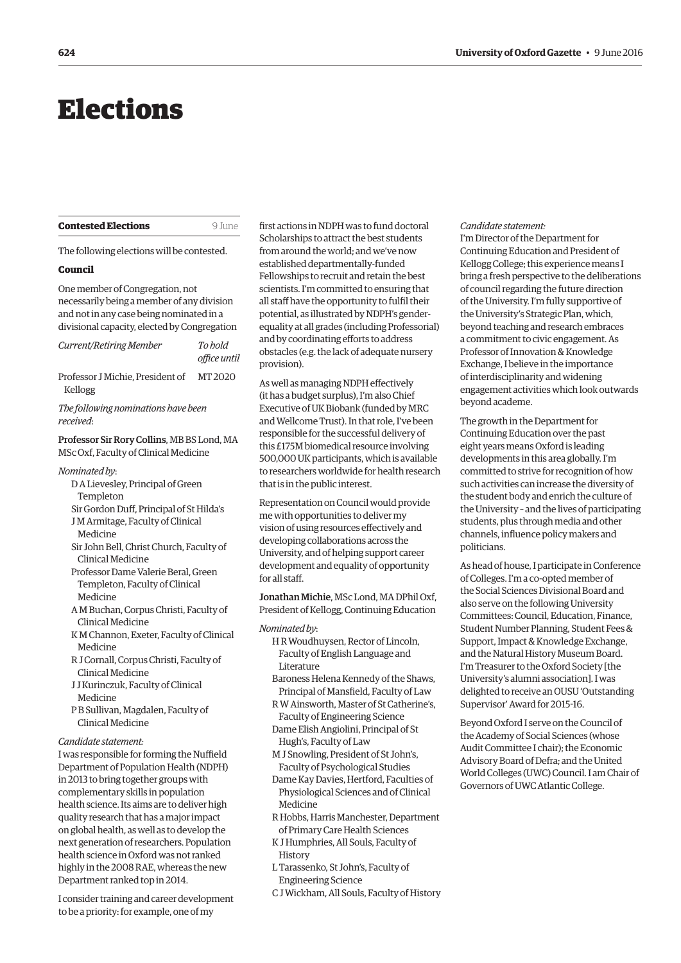# <span id="page-13-0"></span>Elections

| <b>Contested Elections</b> |  |
|----------------------------|--|
|----------------------------|--|

**9 June** 

The following elections will be contested.

## **Council**

One member of Congregation, not necessarily being a member of any division and not in any case being nominated in a divisional capacity, elected by Congregation

| Current/Retiring Member                                                             | To hold<br>office until |
|-------------------------------------------------------------------------------------|-------------------------|
| Professor J Michie, President of<br>Kellogg                                         | MT 2020                 |
| The following nominations have been<br>received:                                    |                         |
| Professor Sir Rory Collins, MB BS Lond, MA<br>MSc Oxf, Faculty of Clinical Medicine |                         |
| Nominated by:                                                                       |                         |

- D A Lievesley, Principal of Green Templeton
- Sir Gordon Duff, Principal of St Hilda's J M Armitage, Faculty of Clinical Medicine
- Sir John Bell, Christ Church, Faculty of Clinical Medicine
- Professor Dame Valerie Beral, Green Templeton, Faculty of Clinical Medicine
- A M Buchan, Corpus Christi, Faculty of Clinical Medicine
- K M Channon, Exeter, Faculty of Clinical Medicine
- R J Cornall, Corpus Christi, Faculty of Clinical Medicine
- J J Kurinczuk, Faculty of Clinical Medicine
- P B Sullivan, Magdalen, Faculty of Clinical Medicine

#### *Candidate statement:*

I was responsible for forming the Nuffield Department of Population Health (NDPH) in 2013 to bring together groups with complementary skills in population health science. Its aims are to deliver high quality research that has a major impact on global health, as well as to develop the next generation of researchers. Population health science in Oxford was not ranked highly in the 2008 RAE, whereas the new Department ranked top in 2014.

I consider training and career development to be a priority: for example, one of my

first actions in NDPH was to fund doctoral Scholarships to attract the best students from around the world; and we've now established departmentally-funded Fellowships to recruit and retain the best scientists. I'm committed to ensuring that all staff have the opportunity to fulfil their potential, as illustrated by NDPH's genderequality at all grades (including Professorial) and by coordinating efforts to address obstacles (e.g. the lack of adequate nursery provision).

As well as managing NDPH effectively (it has a budget surplus), I'm also Chief Executive of UK Biobank (funded by MRC and Wellcome Trust). In that role, I've been responsible for the successful delivery of this £175M biomedical resource involving 500,000 UK participants, which is available to researchers worldwide for health research that is in the public interest.

Representation on Council would provide me with opportunities to deliver my vision of using resources effectively and developing collaborations across the University, and of helping support career development and equality of opportunity for all staff.

Jonathan Michie, MSc Lond, MA DPhil Oxf, President of Kellogg, Continuing Education

- *Nominated by*:
	- H R Woudhuysen, Rector of Lincoln, Faculty of English Language and Literature
	- Baroness Helena Kennedy of the Shaws, Principal of Mansfield, Faculty of Law
	- R W Ainsworth, Master of St Catherine's, Faculty of Engineering Science
	- Dame Elish Angiolini, Principal of St Hugh's, Faculty of Law
	- M J Snowling, President of St John's, Faculty of Psychological Studies
	- Dame Kay Davies, Hertford, Faculties of Physiological Sciences and of Clinical Medicine
	- R Hobbs, Harris Manchester, Department of Primary Care Health Sciences
	- K J Humphries, All Souls, Faculty of History
	- L Tarassenko, St John's, Faculty of Engineering Science
	- C J Wickham, All Souls, Faculty of History

#### *Candidate statement:*

I'm Director of the Department for Continuing Education and President of Kellogg College; this experience means I bring a fresh perspective to the deliberations of council regarding the future direction of the University. I'm fully supportive of the University's Strategic Plan, which, beyond teaching and research embraces a commitment to civic engagement. As Professor of Innovation & Knowledge Exchange, I believe in the importance of interdisciplinarity and widening engagement activities which look outwards beyond academe.

The growth in the Department for Continuing Education over the past eight years means Oxford is leading developments in this area globally. I'm committed to strive for recognition of how such activities can increase the diversity of the student body and enrich the culture of the University – and the lives of participating students, plus through media and other channels, influence policy makers and politicians.

As head of house, I participate in Conference of Colleges. I'm a co-opted member of the Social Sciences Divisional Board and also serve on the following University Committees: Council, Education, Finance, Student Number Planning, Student Fees & Support, Impact & Knowledge Exchange, and the Natural History Museum Board. I'm Treasurer to the Oxford Society [the University's alumni association]. I was delighted to receive an OUSU 'Outstanding Supervisor' Award for 2015-16.

Beyond Oxford I serve on the Council of the Academy of Social Sciences (whose Audit Committee I chair); the Economic Advisory Board of Defra; and the United World Colleges (UWC) Council. I am Chair of Governors of UWC Atlantic College.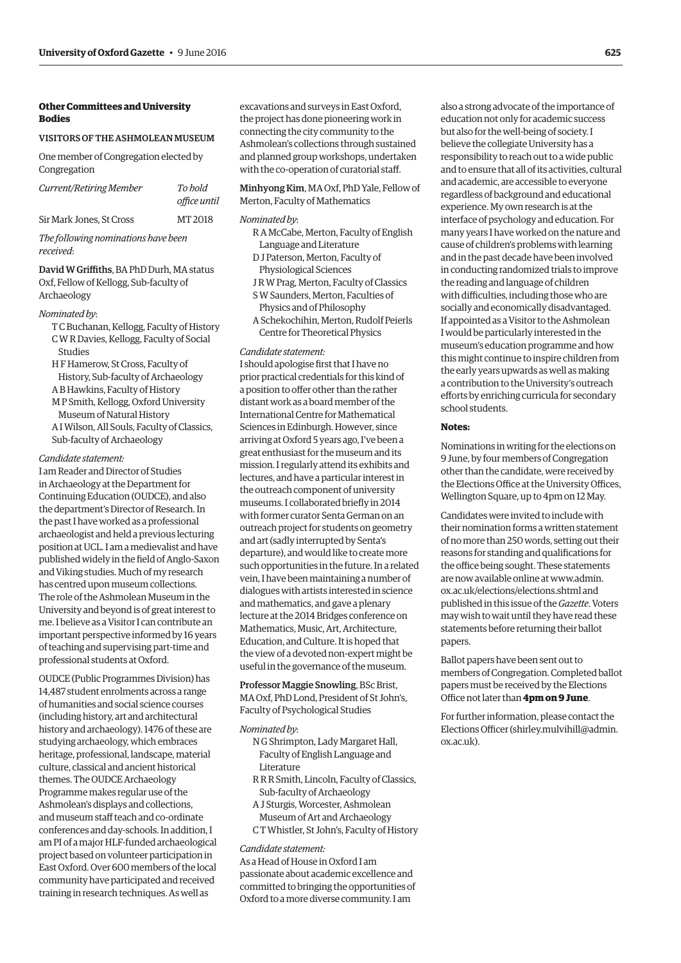# **Other Committees and University Bodies**

#### VISITORS OF THE ASHMOLEAN MUSEUM

One member of Congregation elected by Congregation

| Current/Retiring Member  | To bold<br>office until |
|--------------------------|-------------------------|
| Sir Mark Jones, St Cross | MT 2018                 |

*The following nominations have been received*:

David W Griffiths, BA PhD Durh, MA status Oxf, Fellow of Kellogg, Sub-faculty of Archaeology

#### *Nominated by*:

- T C Buchanan, Kellogg, Faculty of History C W R Davies, Kellogg, Faculty of Social Studies
- H F Hamerow, St Cross, Faculty of
- History, Sub-faculty of Archaeology A B Hawkins, Faculty of History
- M P Smith, Kellogg, Oxford University Museum of Natural History
- A I Wilson, All Souls, Faculty of Classics, Sub-faculty of Archaeology

#### *Candidate statement:*

I am Reader and Director of Studies in Archaeology at the Department for Continuing Education (OUDCE), and also the department's Director of Research. In the past I have worked as a professional archaeologist and held a previous lecturing position at UCL. I am a medievalist and have published widely in the field of Anglo-Saxon and Viking studies. Much of my research has centred upon museum collections. The role of the Ashmolean Museum in the University and beyond is of great interest to me. I believe as a Visitor I can contribute an important perspective informed by 16 years of teaching and supervising part-time and professional students at Oxford.

OUDCE (Public Programmes Division) has 14,487 student enrolments across a range of humanities and social science courses (including history, art and architectural history and archaeology). 1476 of these are studying archaeology, which embraces heritage, professional, landscape, material culture, classical and ancient historical themes. The OUDCE Archaeology Programme makes regular use of the Ashmolean's displays and collections, and museum staff teach and co-ordinate conferences and day-schools. In addition, I am PI of a major HLF-funded archaeological project based on volunteer participation in East Oxford. Over 600 members of the local community have participated and received training in research techniques. As well as

excavations and surveys in East Oxford, the project has done pioneering work in connecting the city community to the Ashmolean's collections through sustained and planned group workshops, undertaken with the co-operation of curatorial staff.

Minhyong Kim, MA Oxf, PhD Yale, Fellow of Merton, Faculty of Mathematics

#### *Nominated by*:

- R A McCabe, Merton, Faculty of English Language and Literature
- D J Paterson, Merton, Faculty of Physiological Sciences
- J R W Prag, Merton, Faculty of Classics
- S W Saunders, Merton, Faculties of
- Physics and of Philosophy
- A Schekochihin, Merton, Rudolf Peierls Centre for Theoretical Physics

#### *Candidate statement:*

I should apologise first that I have no prior practical credentials for this kind of a position to offer other than the rather distant work as a board member of the International Centre for Mathematical Sciences in Edinburgh. However, since arriving at Oxford 5 years ago, I've been a great enthusiast for the museum and its mission. I regularly attend its exhibits and lectures, and have a particular interest in the outreach component of university museums. I collaborated briefly in 2014 with former curator Senta German on an outreach project for students on geometry and art (sadly interrupted by Senta's departure), and would like to create more such opportunities in the future. In a related vein, I have been maintaining a number of dialogues with artists interested in science and mathematics, and gave a plenary lecture at the 2014 Bridges conference on Mathematics, Music, Art, Architecture, Education, and Culture. It is hoped that the view of a devoted non-expert might be useful in the governance of the museum.

Professor Maggie Snowling, BSc Brist, MA Oxf, PhD Lond, President of St John's, Faculty of Psychological Studies

#### *Nominated by*:

- N G Shrimpton, Lady Margaret Hall, Faculty of English Language and Literature
- R R R Smith, Lincoln, Faculty of Classics, Sub-faculty of Archaeology
- A J Sturgis, Worcester, Ashmolean Museum of Art and Archaeology
- C T Whistler, St John's, Faculty of History

#### *Candidate statement:*

As a Head of House in Oxford I am passionate about academic excellence and committed to bringing the opportunities of Oxford to a more diverse community. I am

also a strong advocate of the importance of education not only for academic success but also for the well-being of society. I believe the collegiate University has a responsibility to reach out to a wide public and to ensure that all of its activities, cultural and academic, are accessible to everyone regardless of background and educational experience. My own research is at the interface of psychology and education. For many years I have worked on the nature and cause of children's problems with learning and in the past decade have been involved in conducting randomized trials to improve the reading and language of children with difficulties, including those who are socially and economically disadvantaged. If appointed as a Visitor to the Ashmolean I would be particularly interested in the museum's education programme and how this might continue to inspire children from the early years upwards as well as making a contribution to the University's outreach efforts by enriching curricula for secondary school students.

#### **Notes:**

Nominations in writing for the elections on 9 June, by four members of Congregation other than the candidate, were received by the Elections Office at the University Offices, Wellington Square, up to 4pm on 12 May.

Candidates were invited to include with their nomination forms a written statement of no more than 250 words, setting out their reasons for standing and qualifications for the office being sought. These statements [are now available online at www.admin.](www.admin.ox.ac.uk/elections/elections.shtml) ox.ac.uk/elections/elections.shtml and published in this issue of the *Gazette*. Voters may wish to wait until they have read these statements before returning their ballot papers.

Ballot papers have been sent out to members of Congregation. Completed ballot papers must be received by the Elections Office not later than **4pm on 9 June**.

For further information, please contact the Elections Officer [\(shirley.mulvihill@admin.](mailto:shirley.mulvihill@admin.ox.ac.uk) [ox.ac.uk\).](mailto:shirley.mulvihill@admin.ox.ac.uk)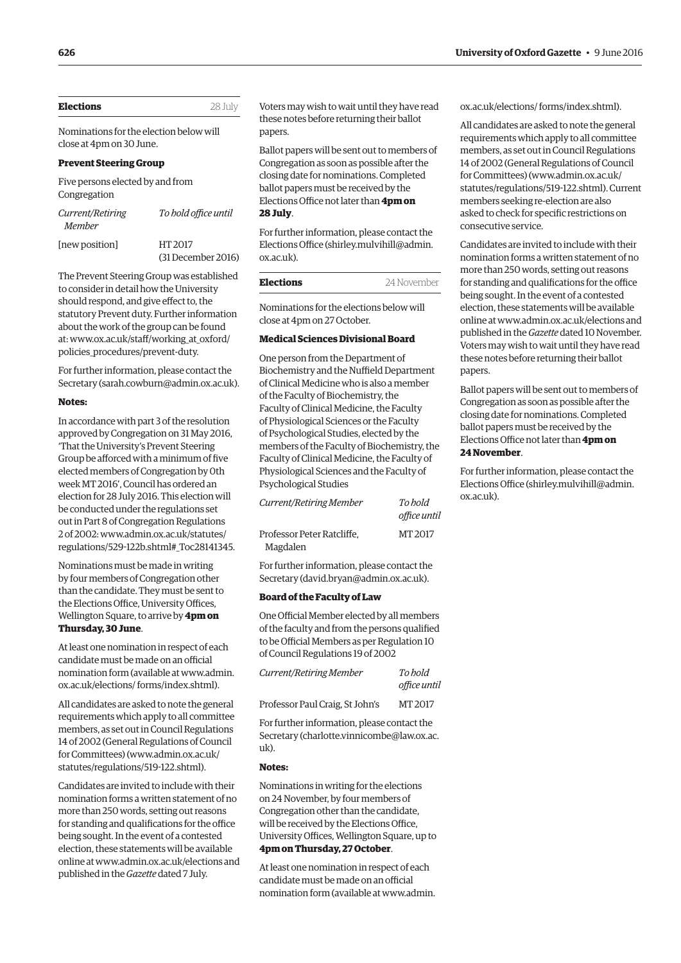<span id="page-15-0"></span>

| Elections | 28 July |
|-----------|---------|
|           |         |

Nominations for the election below will close at 4pm on 30 June.

#### **Prevent Steering Group**

Five persons elected by and from Congregation

| Current/Retiring<br>Member | To hold office until          |
|----------------------------|-------------------------------|
| [new position]             | HT 2017<br>(31 December 2016) |

The Prevent Steering Group was established to consider in detail how the University should respond, and give effect to, the statutory Prevent duty. Further information about the work of the group can be found [at: www.ox.ac.uk/staff/working\\_at\\_oxford/](www.ox.ac.uk/staff/working_at_oxford/policies_procedures/prevent-duty) policies\_procedures/prevent-duty.

For further information, please contact the Secretary [\(sarah.cowburn@admin.ox.ac.uk\).](mailto:sarah.cowburn@admin.ox.ac.uk)

#### **Notes:**

In accordance with part 3 of the resolution approved by Congregation on 31 May 2016, 'That the University's Prevent Steering Group be afforced with a minimum of five elected members of Congregation by 0th week MT 2016', Council has ordered an election for 28 July 2016. This election will be conducted under the regulations set out in Part 8 of Congregation Regulations 2 of 2002: www.admin.ox.ac.uk/statutes/ [regulations/529-122b.shtml#\\_Toc28141345.](www.admin.ox.ac.uk/statutes/regulations/529-122b.shtml#_Toc28141345) 

Nominations must be made in writing by four members of Congregation other than the candidate. They must be sent to the Elections Office, University Offices, Wellington Square, to arrive by **4pm on Thursday, 30 June**.

At least one nomination in respect of each candidate must be made on an official [nomination form \(available at www.admin.](www.admin.ox.ac.uk/elections/forms/index.shtml) ox.ac.uk/elections/ forms/index.shtml).

All candidates are asked to note the general requirements which apply to all committee members, as set out in Council Regulations 14 of 2002 (General Regulations of Council for Committees) [\(www.admin.ox.ac.uk/](http://www.admin.ox.ac.uk/statutes/regulations/519-122.shtml) [statutes/regulations/519-122.shtml\).](http://www.admin.ox.ac.uk/statutes/regulations/519-122.shtml) 

Candidates are invited to include with their nomination forms a written statement of no more than 250 words, setting out reasons for standing and qualifications for the office being sought. In the event of a contested election, these statements will be available online at [www.admin.ox.ac.uk/elections an](http://www.admin.ox.ac.uk/elections)d published in the *Gazette* dated 7 July.

Voters may wish to wait until they have read these notes before returning their ballot papers.

Ballot papers will be sent out to members of Congregation as soon as possible after the closing date for nominations. Completed ballot papers must be received by the Elections Office not later than **4pm on 28 July**.

For further information, please contact the Elections Office ([shirley.mulvihill@admin.](mailto:shirley.mulvihill@admin.ox.ac.uk) [ox.ac.uk\).](mailto:shirley.mulvihill@admin.ox.ac.uk) 

| Elections | 24 November |
|-----------|-------------|
|           |             |

Nominations for the elections below will close at 4pm on 27 October.

#### **Medical Sciences Divisional Board**

One person from the Department of Biochemistry and the Nuffield Department of Clinical Medicine who is also a member of the Faculty of Biochemistry, the Faculty of Clinical Medicine, the Faculty of Physiological Sciences or the Faculty of Psychological Studies, elected by the members of the Faculty of Biochemistry, the Faculty of Clinical Medicine, the Faculty of Physiological Sciences and the Faculty of Psychological Studies

| Current/Retiring Member                | To bold<br>office until |
|----------------------------------------|-------------------------|
| Professor Peter Ratcliffe,<br>Magdalen | MT 2017                 |

For further information, please contact the Secretary ([david.bryan@admin.ox.ac.uk\).](mailto:david.bryan@admin.ox.ac.uk)

#### **Board of the Faculty of Law**

One Official Member elected by all members of the faculty and from the persons qualified to be Official Members as per Regulation 10 of Council Regulations 19 of 2002

| Current/Retiring Member         | To bold<br>office until |
|---------------------------------|-------------------------|
| Professor Paul Craig, St John's | MT 2017                 |

For further information, please contact the Secretary ([charlotte.vinnicombe@law.ox.ac.](mailto:charlotte.vinnicombe@law.ox.ac.uk) [uk\).](mailto:charlotte.vinnicombe@law.ox.ac.uk)

#### **Notes:**

Nominations in writing for the elections on 24 November, by four members of Congregation other than the candidate, will be received by the Elections Office, University Offices, Wellington Square, up to **4pm on Thursday, 27 October**.

At least one nomination in respect of each candidate must be made on an official nomination form (availabl[e at www.admin.](www.admin.ox.ac.uk/elections/forms/index.shtml) ox.ac.uk/elections/ forms/index.shtml).

All candidates are asked to note the general requirements which apply to all committee members, as set out in Council Regulations 14 of 2002 (General Regulations of Council for Committees) ([www.admin.ox.ac.uk/](http://www.admin.ox.ac.uk/statutes/regulations/519-122.shtml) [statutes/regulations/519-122.shtml\). Cu](http://www.admin.ox.ac.uk/statutes/regulations/519-122.shtml)rrent members seeking re-election are also asked to check for specific restrictions on consecutive service.

Candidates are invited to include with their nomination forms a written statement of no more than 250 words, setting out reasons for standing and qualifications for the office being sought. In the event of a contested election, these statements will be available online at [www.admin.ox.ac.uk/elections an](http://www.admin.ox.ac.uk/elections)d published in the *Gazette* dated 10 November. Voters may wish to wait until they have read these notes before returning their ballot papers.

Ballot papers will be sent out to members of Congregation as soon as possible after the closing date for nominations. Completed ballot papers must be received by the Elections Office not later than **4pm on 24 November**.

For further information, please contact the Elections Office [\(shirley.mulvihill@admin.](mailto:shirley.mulvihill@admin.ox.ac.uk) [ox.ac.uk\).](mailto:shirley.mulvihill@admin.ox.ac.uk)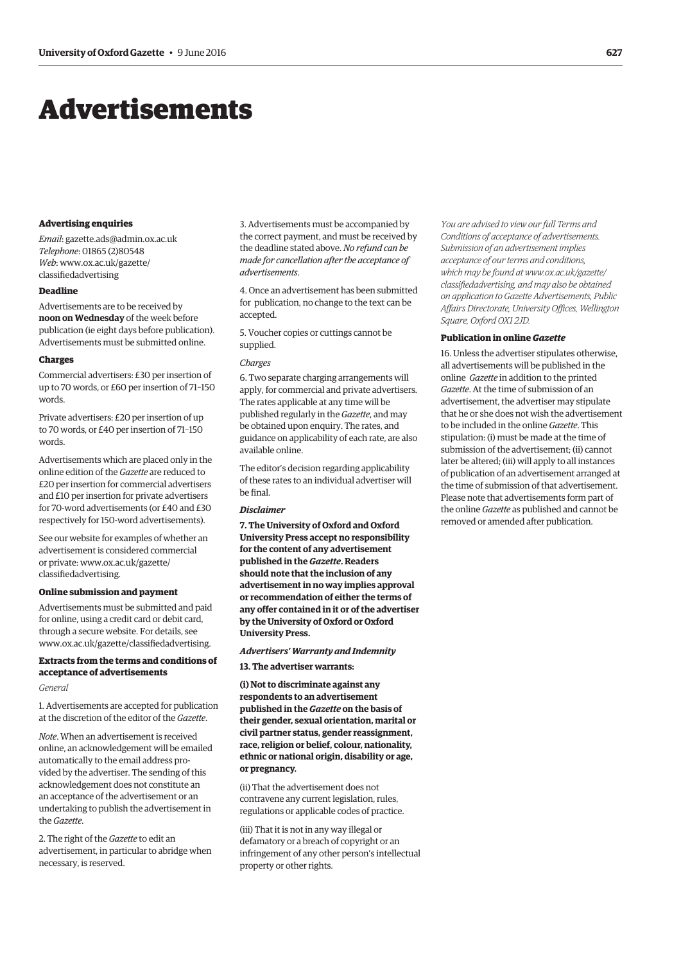# <span id="page-16-0"></span>Advertisements

#### **Advertising enquiries**

*Email*: [gazette.ads@admin.ox.ac.uk](mailto:gazette.ads@admin.ox.ac.uk) *Telephone*: 01865 (2)80548 *Web*[: www.ox.ac.uk/gazette/](www.ox.ac.uk/gazette/classifiedadvertising) classifiedadvertising

### **Deadline**

Advertisements are to be received by **noon on Wednesday** of the week before publication (ie eight days before publication). Advertisements must be submitted online.

#### **Charges**

Commercial advertisers: £30 per insertion of up to 70 words, or £60 per insertion of 71–150 words.

Private advertisers: £20 per insertion of up to 70 words, or £40 per insertion of 71–150 words.

Advertisements which are placed only in the online edition of the *Gazette* are reduced to £20 per insertion for commercial advertisers and £10 per insertion for private advertisers for 70-word advertisements (or £40 and £30 respectively for 150-word advertisements).

See our website for examples of whether an advertisement is considered commercial [or private: www.ox.ac.uk/gazette/](www.ox.ac.uk/gazette/classifiedadvertising) classifiedadvertising.

#### **Online submission and payment**

Advertisements must be submitted and paid for online, using a credit card or debit card, through a secure website. For details, see [www.ox.ac.uk/gazette/classifiedadvertising.](http://www.ox.ac.uk/gazette/classifiedadvertising)

# **Extracts from the terms and conditions of acceptance of advertisements**

#### *General*

1. Advertisements are accepted for publication at the discretion of the editor of the *Gazette*.

*Note*. When an advertisement is received online, an acknowledgement will be emailed automatically to the email address provided by the advertiser. The sending of this acknowledgement does not constitute an an acceptance of the advertisement or an undertaking to publish the advertisement in the *Gazette*.

2. The right of the *Gazette* to edit an advertisement, in particular to abridge when necessary, is reserved.

3. Advertisements must be accompanied by the correct payment, and must be received by the deadline stated above. *No refund can be made for cancellation after the acceptance of advertisements*.

4. Once an advertisement has been submitted for publication, no change to the text can be accepted.

5. Voucher copies or cuttings cannot be supplied.

#### *Charges*

6. Two separate charging arrangements will apply, for commercial and private advertisers. The rates applicable at any time will be published regularly in the *Gazette*, and may be obtained upon enquiry. The rates, and guidance on applicability of each rate, are also available online.

The editor's decision regarding applicability of these rates to an individual advertiser will be final.

## *Disclaimer*

**7. The University of Oxford and Oxford University Press accept no responsibility for the content of any advertisement published in the** *Gazette***. Readers should note that the inclusion of any advertisement in no way implies approval or recommendation of either the terms of any offer contained in it or of the advertiser by the University of Oxford or Oxford University Press.**

#### *Advertisers' Warranty and Indemnity*

**13. The advertiser warrants:**

**(i) Not to discriminate against any respondents to an advertisement published in the** *Gazette* **on the basis of their gender, sexual orientation, marital or civil partner status, gender reassignment, race, religion or belief, colour, nationality, ethnic or national origin, disability or age, or pregnancy.**

(ii) That the advertisement does not contravene any current legislation, rules, regulations or applicable codes of practice.

(iii) That it is not in any way illegal or defamatory or a breach of copyright or an infringement of any other person's intellectual property or other rights.

*You are advised to view our full Terms and Conditions of acceptance of advertisements. Submission of an advertisement implies acceptance of our terms and conditions, which may be found at www.ox.ac.uk/gazette/ [classifiedadvertising, and may also be obtained](www.ox.ac.uk/gazette/classifiedadvertising)  on application to Gazette Advertisements, Public Affairs Directorate, University Offices, Wellington Square, Oxford OX1 2JD.*

#### **Publication in online** *Gazette*

16. Unless the advertiser stipulates otherwise, all advertisements will be published in the online *Gazette* in addition to the printed *Gazette*. At the time of submission of an advertisement, the advertiser may stipulate that he or she does not wish the advertisement to be included in the online *Gazette*. This stipulation: (i) must be made at the time of submission of the advertisement; (ii) cannot later be altered; (iii) will apply to all instances of publication of an advertisement arranged at the time of submission of that advertisement. Please note that advertisements form part of the online *Gazette* as published and cannot be removed or amended after publication.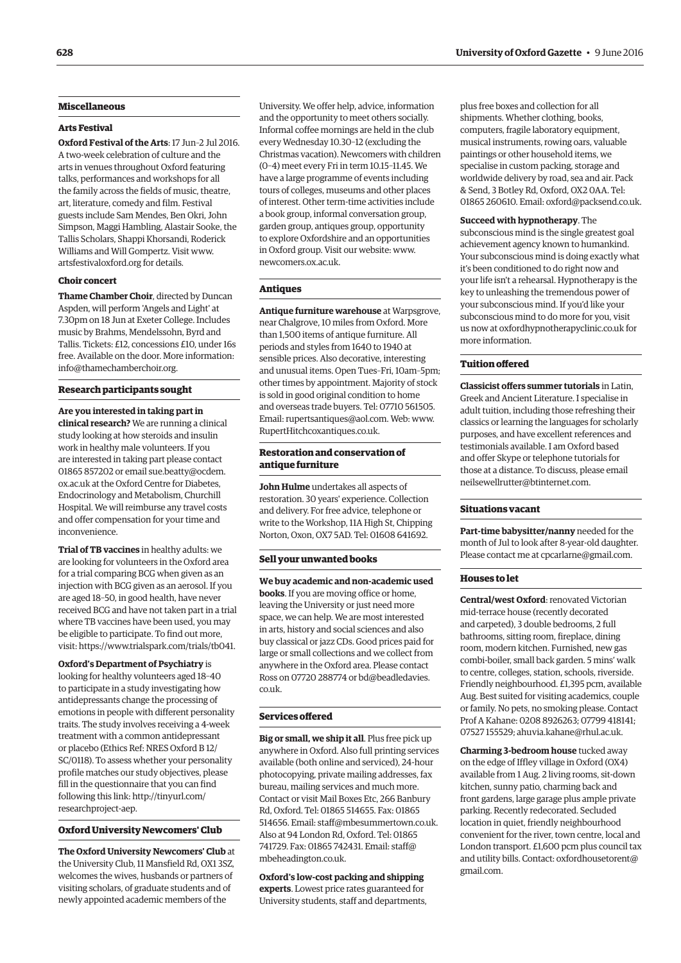# **Miscellaneous**

#### **Arts Festival**

**Oxford Festival of the Arts**: 17 Jun–2 Jul 2016. A two-week celebration of culture and the arts in venues throughout Oxford featuring talks, performances and workshops for all the family across the fields of music, theatre, art, literature, comedy and film. Festival guests include Sam Mendes, Ben Okri, John Simpson, Maggi Hambling, Alastair Sooke, the Tallis Scholars, Shappi Khorsandi, Roderick Williams and Will Gompertz. Visit [www.](http://www.artsfestivaloxford.org) [artsfestivaloxford.org for](http://www.artsfestivaloxford.org) details.

#### **Choir concert**

**Thame Chamber Choir**, directed by Duncan Aspden, will perform 'Angels and Light' at 7.30pm on 18 Jun at Exeter College. Includes music by Brahms, Mendelssohn, Byrd and Tallis. Tickets: £12, concessions £10, under 16s free. Available on the door. More information: [info@thamechamberchoir.org.](mailto:info@thamechamberchoir.org)

#### **Research participants sought**

**Are you interested in taking part in clinical research?** We are running a clinical study looking at how steroids and insulin work in healthy male volunteers. If you are interested in taking part please contact [01865 857202 or email sue.beatty@ocdem.](mailto:sue.beatty@ocdem.ox.ac.uk) ox.ac.uk at the Oxford Centre for Diabetes, Endocrinology and Metabolism, Churchill Hospital. We will reimburse any travel costs and offer compensation for your time and inconvenience.

**Trial of TB vaccines** in healthy adults: we are looking for volunteers in the Oxford area for a trial comparing BCG when given as an injection with BCG given as an aerosol. If you are aged 18–50, in good health, have never received BCG and have not taken part in a trial where TB vaccines have been used, you may be eligible to participate. To find out more, visit: [https://www.trialspark.com/trials/tb041.](https://www.trialspark.com/trials/tb041)

**Oxford's Department of Psychiatry** is looking for healthy volunteers aged 18–40 to participate in a study investigating how antidepressants change the processing of emotions in people with different personality traits. The study involves receiving a 4-week treatment with a common antidepressant or placebo (Ethics Ref: NRES Oxford B 12/ SC/0118). To assess whether your personality profile matches our study objectives, please fill in the questionnaire that you can find [following this link: http://tinyurl.com/](http://tinyurl.com/researchproject-aep) researchproject-aep.

# **Oxford University Newcomers' Club**

**The Oxford University Newcomers' Club** at the University Club, 11 Mansfield Rd, OX1 3SZ, welcomes the wives, husbands or partners of visiting scholars, of graduate students and of newly appointed academic members of the

University. We offer help, advice, information and the opportunity to meet others socially. Informal coffee mornings are held in the club every Wednesday 10.30–12 (excluding the Christmas vacation). Newcomers with children (0–4) meet every Fri in term 10.15–11.45. We have a large programme of events including tours of colleges, museums and other places of interest. Other term-time activities include a book group, informal conversation group, garden group, antiques group, opportunity to explore Oxfordshire and an opportunities in Oxford group. Visit our website: [www.](http://www.newcomers.ox.ac.uk) [newcomers.ox.ac.uk.](http://www.newcomers.ox.ac.uk)

#### **Antiques**

**Antique furniture warehouse** at Warpsgrove, near Chalgrove, 10 miles from Oxford. More than 1,500 items of antique furniture. All periods and styles from 1640 to 1940 at sensible prices. Also decorative, interesting and unusual items. Open Tues–Fri, 10am–5pm; other times by appointment. Majority of stock is sold in good original condition to home and overseas trade buyers. Tel: 07710 561505. Email: [rupertsantiques@aol.com. W](mailto:rupertsantiques@aol.com)eb: [www.](http://www.RupertHitchcoxantiques.co.uk) [RupertHitchcoxantiques.co.uk.](http://www.RupertHitchcoxantiques.co.uk) 

## **Restoration and conservation of antique furniture**

**John Hulme** undertakes all aspects of restoration. 30 years' experience. Collection and delivery. For free advice, telephone or write to the Workshop, 11A High St, Chipping Norton, Oxon, OX7 5AD. Tel: 01608 641692.

### **Sell your unwanted books**

# **We buy academic and non-academic used books**. If you are moving office or home, leaving the University or just need more space, we can help. We are most interested in arts, history and social sciences and also buy classical or jazz CDs. Good prices paid for large or small collections and we collect from anywhere in the Oxford area. Please contact [Ross on 07720 288774 or bd@beadledavies.](mailto:bd@beadledavies.co.uk)

#### **Services offered**

co.uk.

**Big or small, we ship it all**. Plus free pick up anywhere in Oxford. Also full printing services available (both online and serviced), 24-hour photocopying, private mailing addresses, fax bureau, mailing services and much more. Contact or visit Mail Boxes Etc, 266 Banbury Rd, Oxford. Tel: 01865 514655. Fax: 01865 514656. Email: [staff@mbesummertown.co.uk.](mailto:staff@mbesummertown.co.uk)  Also at 94 London Rd, Oxford. Tel: 01865 [741729. Fax: 01865 742431. Email: staff@](mailto:staff@mbeheadington.co.uk) mbeheadington.co.uk.

**Oxford's low-cost packing and shipping experts**. Lowest price rates guaranteed for University students, staff and departments, plus free boxes and collection for all shipments. Whether clothing, books, computers, fragile laboratory equipment, musical instruments, rowing oars, valuable paintings or other household items, we specialise in custom packing, storage and worldwide delivery by road, sea and air. Pack & Send, 3 Botley Rd, Oxford, OX2 0AA. Tel: 01865 260610. Email: [oxford@packsend.co.uk.](mailto:oxford@packsend.co.uk)

#### **Succeed with hypnotherapy**. The

subconscious mind is the single greatest goal achievement agency known to humankind. Your subconscious mind is doing exactly what it's been conditioned to do right now and your life isn't a rehearsal. Hypnotherapy is the key to unleashing the tremendous power of your subconscious mind. If you'd like your subconscious mind to do more for you, visit us n[ow at oxfordhypnotherapyclinic.co.uk for](http://www.oxfordhypnotherapyclinic.co.uk)  more information.

#### **Tuition offered**

**Classicist offers summer tutorials** in Latin, Greek and Ancient Literature. I specialise in adult tuition, including those refreshing their classics or learning the languages for scholarly purposes, and have excellent references and testimonials available. I am Oxford based and offer Skype or telephone tutorials for those at a distance. To discuss, please email [neilsewellrutter@btinternet.com.](mailto:neilsewellrutter@btinternet.com)

#### **Situations vacant**

**Part-time babysitter/nanny** needed for the month of Jul to look after 8-year-old daughter. Please contact me at [cpcarlarne@gmail.com.](mailto:cpcarlarne@gmail.com)

#### **Houses to let**

**Central/west Oxford**: renovated Victorian mid-terrace house (recently decorated and carpeted), 3 double bedrooms, 2 full bathrooms, sitting room, fireplace, dining room, modern kitchen. Furnished, new gas combi-boiler, small back garden. 5 mins' walk to centre, colleges, station, schools, riverside. Friendly neighbourhood. £1,395 pcm, available Aug. Best suited for visiting academics, couple or family. No pets, no smoking please. Contact Prof A Kahane: 0208 8926263; 07799 418141; 07527 155529; [ahuvia.kahane@rhul.ac.uk.](mailto:ahuvia.kahane@rhul.ac.uk)

**Charming 3-bedroom house** tucked away on the edge of Iffley village in Oxford (OX4) available from 1 Aug. 2 living rooms, sit-down kitchen, sunny patio, charming back and front gardens, large garage plus ample private parking. Recently redecorated. Secluded location in quiet, friendly neighbourhood convenient for the river, town centre, local and London transport. £1,600 pcm plus council tax [and utility bills. Contact: oxfordhousetorent@](mailto:oxfordhouserent@gmail.com) gmail.com.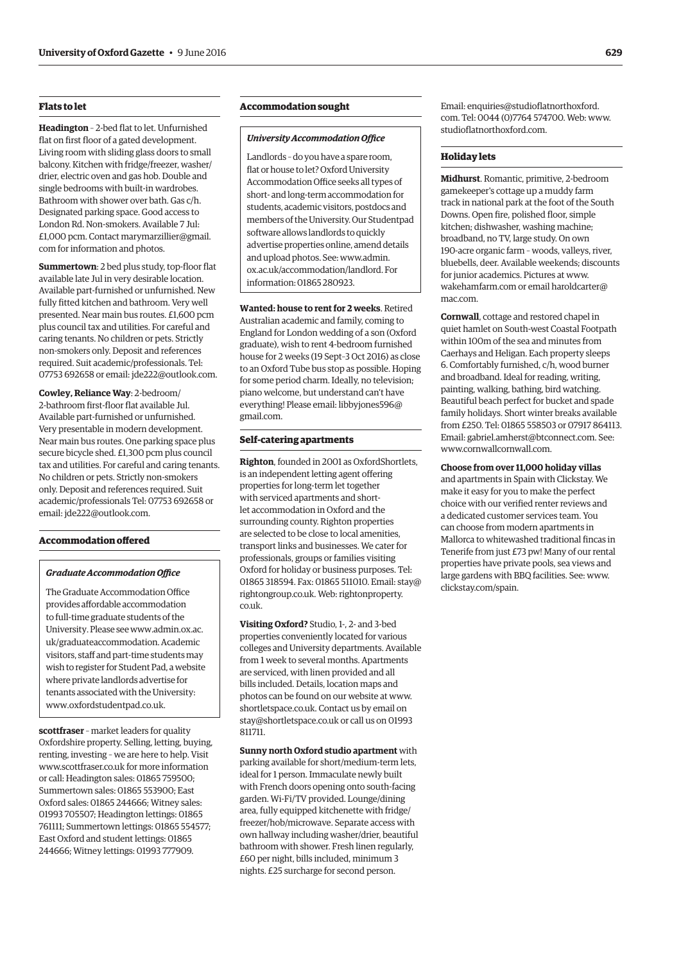# **Flats to let**

**Headington** – 2-bed flat to let. Unfurnished flat on first floor of a gated development. Living room with sliding glass doors to small balcony. Kitchen with fridge/freezer, washer/ drier, electric oven and gas hob. Double and single bedrooms with built-in wardrobes. Bathroom with shower over bath. Gas c/h. Designated parking space. Good access to London Rd. Non-smokers. Available 7 Jul: [£1,000 pcm. Contact marymarzillier@gmail.](mailto:marymarzillier@gmail.com) com for information and photos.

**Summertown**: 2 bed plus study, top-floor flat available late Jul in very desirable location. Available part-furnished or unfurnished. New fully fitted kitchen and bathroom. Very well presented. Near main bus routes. £1,600 pcm plus council tax and utilities. For careful and caring tenants. No children or pets. Strictly non-smokers only. Deposit and references required. Suit academic/professionals. Tel: 07753 692658 or email: [jde222@outlook.com.](mailto:jde222@outlook.com)

**Cowley, Reliance Way**: 2-bedroom/ 2-bathroom first-floor flat available Jul. Available part-furnished or unfurnished. Very presentable in modern development. Near main bus routes. One parking space plus secure bicycle shed. £1,300 pcm plus council tax and utilities. For careful and caring tenants. No children or pets. Strictly non-smokers only. Deposit and references required. Suit academic/professionals Tel: 07753 692658 or email: [jde222@outlook.com.](mailto:jde222@outlook.com)

## **Accommodation offered**

#### *Graduate Accommodation Office*

The Graduate Accommodation Office provides affordable accommodation to full-time graduate students of the [University. Please see www.admin.ox.ac.](www.admin.ox.ac.uk/graduateaccommodation) uk/graduateaccommodation. Academic visitors, staff and part-time students may wish to register for Student Pad, a website where private landlords advertise for tenants associated with the University: [www.oxfordstudentpad.co.uk.](http://www.oxfordstudentpad.co.uk)

**scottfraser** – market leaders for quality Oxfordshire property. Selling, letting, buying, renting, investing – we are here to help. Visit [www.scottfraser.co.uk fo](http://www.scottfraser.co.uk)r more information or call: Headington sales: 01865 759500; Summertown sales: 01865 553900; East Oxford sales: 01865 244666; Witney sales: 01993 705507; Headington lettings: 01865 761111; Summertown lettings: 01865 554577; East Oxford and student lettings: 01865 244666; Witney lettings: 01993 777909.

# **Accommodation sought**

#### *University Accommodation Office*

Landlords – do you have a spare room, flat or house to let? Oxford University Accommodation Office seeks all types of short- and long-term accommodation for students, academic visitors, postdocs and members of the University. Our Studentpad software allows landlords to quickly advertise properties online, amend details and upload photos. See: www.admin. [ox.ac.uk/accommodation/landlord. For](www.admin.ox.ac.uk/accommodation/landlord)  information: 01865 280923.

**Wanted: house to rent for 2 weeks**. Retired Australian academic and family, coming to England for London wedding of a son (Oxford graduate), wish to rent 4-bedroom furnished house for 2 weeks (19 Sept–3 Oct 2016) as close to an Oxford Tube bus stop as possible. Hoping for some period charm. Ideally, no television; piano welcome, but understand can't have [everything! Please email: libbyjones596@](mailto:libbyjones596@gmail.com) gmail.com.

## **Self-catering apartments**

**Righton**, founded in 2001 as OxfordShortlets, is an independent letting agent offering properties for long-term let together with serviced apartments and shortlet accommodation in Oxford and the surrounding county. Righton properties are selected to be close to local amenities, transport links and businesses. We cater for professionals, groups or families visiting Oxford for holiday or business purposes. Tel: 01865 318594. Fax: 01865 511[010. Email: stay@](mailto:stay@rightongroup.co.uk) rightongroup.co.uk. [Web: rightonproperty.](www.rightonproperty.co.uk) co.uk.

**Visiting Oxford?** Studio, 1-, 2- and 3-bed properties conveniently located for various colleges and University departments. Available from 1 week to several months. Apartments are serviced, with linen provided and all bills included. Details, location maps and photos can be found on our website at [www.](http://www.shortletspace.co.uk) [shortletspace.co.uk. Co](http://www.shortletspace.co.uk)ntact us by email on [stay@shortletspace.co.uk or](mailto:stay@shortletspace.co.uk) call us on 01993 811711.

**Sunny north Oxford studio apartment** with parking available for short/medium-term lets, ideal for 1 person. Immaculate newly built with French doors opening onto south-facing garden. Wi-Fi/TV provided. Lounge/dining area, fully equipped kitchenette with fridge/ freezer/hob/microwave. Separate access with own hallway including washer/drier, beautiful bathroom with shower. Fresh linen regularly, £60 per night, bills included, minimum 3 nights. £25 surcharge for second person.

Email: [enquiries@studioflatnorthoxford.](mailto:enquiries@studioflatnorthoxford.com) com. Tel: 0044 (0)7764 574700. Web: [www.](http://www.studioflatnorthoxford.com) [studioflatnorthoxford.com.](http://www.studioflatnorthoxford.com)

#### **Holiday lets**

**Midhurst**. Romantic, primitive, 2-bedroom gamekeeper's cottage up a muddy farm track in national park at the foot of the South Downs. Open fire, polished floor, simple kitchen; dishwasher, washing machine; broadband, no TV, large study. On own 190-acre organic farm – woods, valleys, river, bluebells, deer. Available weekends; discounts for junior academics. Pictures at [www.](http://www.wakehamfarm.com) [wakehamfarm.com or](http://www.wakehamfarm.com) em[ail haroldcarter@](mailto:haroldcarter@mac.com) mac.com.

**Cornwall**, cottage and restored chapel in quiet hamlet on South-west Coastal Footpath within 100m of the sea and minutes from Caerhays and Heligan. Each property sleeps 6. Comfortably furnished, c/h, wood burner and broadband. Ideal for reading, writing, painting, walking, bathing, bird watching. Beautiful beach perfect for bucket and spade family holidays. Short winter breaks available from £250. Tel: 01865 558503 or 07917 864113. Email: [gabriel.amherst@btconnect.com. Se](mailto:gabriel.amherst@btconnect.com)e: [www.cornwallcornwall.com.](http://www.cornwallcornwall.com)

#### **Choose from over 11,000 holiday villas**

and apartments in Spain with Clickstay. We make it easy for you to make the perfect choice with our verified renter reviews and a dedicated customer services team. You can choose from modern apartments in Mallorca to whitewashed traditional fincas in Tenerife from just £73 pw! Many of our rental properties have private pools, sea views and large gardens with BBQ facilities. See: [www.](http://www.clickstay.com/spain) [clickstay.com/spain.](http://www.clickstay.com/spain)